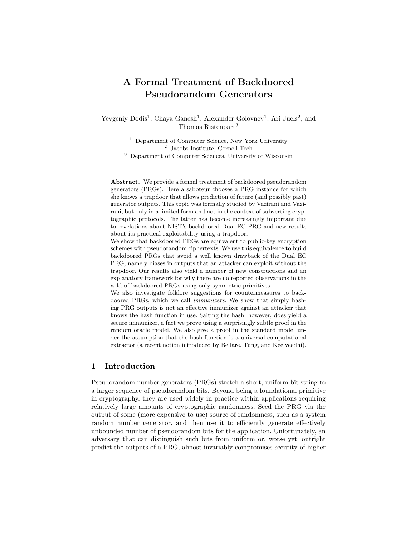# A Formal Treatment of Backdoored Pseudorandom Generators

Yevgeniy Dodis<sup>1</sup>, Chaya Ganesh<sup>1</sup>, Alexander Golovnev<sup>1</sup>, Ari Juels<sup>2</sup>, and Thomas Ristenpart<sup>3</sup>

> <sup>1</sup> Department of Computer Science, New York University 2 Jacobs Institute, Cornell Tech <sup>3</sup> Department of Computer Sciences, University of Wisconsin

Abstract. We provide a formal treatment of backdoored pseudorandom generators (PRGs). Here a saboteur chooses a PRG instance for which she knows a trapdoor that allows prediction of future (and possibly past) generator outputs. This topic was formally studied by Vazirani and Vazirani, but only in a limited form and not in the context of subverting cryptographic protocols. The latter has become increasingly important due to revelations about NIST's backdoored Dual EC PRG and new results about its practical exploitability using a trapdoor.

We show that backdoored PRGs are equivalent to public-key encryption schemes with pseudorandom ciphertexts. We use this equivalence to build backdoored PRGs that avoid a well known drawback of the Dual EC PRG, namely biases in outputs that an attacker can exploit without the trapdoor. Our results also yield a number of new constructions and an explanatory framework for why there are no reported observations in the wild of backdoored PRGs using only symmetric primitives.

We also investigate folklore suggestions for countermeasures to backdoored PRGs, which we call immunizers. We show that simply hashing PRG outputs is not an effective immunizer against an attacker that knows the hash function in use. Salting the hash, however, does yield a secure immunizer, a fact we prove using a surprisingly subtle proof in the random oracle model. We also give a proof in the standard model under the assumption that the hash function is a universal computational extractor (a recent notion introduced by Bellare, Tung, and Keelveedhi).

## 1 Introduction

Pseudorandom number generators (PRGs) stretch a short, uniform bit string to a larger sequence of pseudorandom bits. Beyond being a foundational primitive in cryptography, they are used widely in practice within applications requiring relatively large amounts of cryptographic randomness. Seed the PRG via the output of some (more expensive to use) source of randomness, such as a system random number generator, and then use it to efficiently generate effectively unbounded number of pseudorandom bits for the application. Unfortunately, an adversary that can distinguish such bits from uniform or, worse yet, outright predict the outputs of a PRG, almost invariably compromises security of higher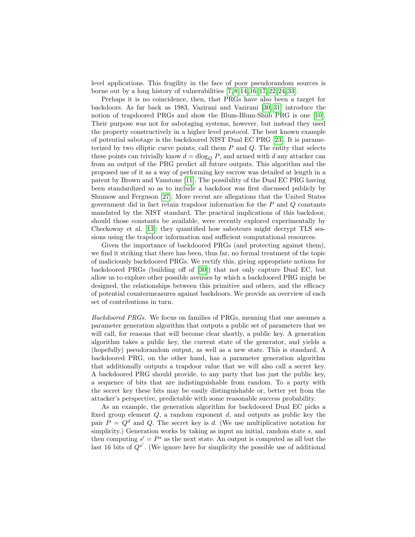level applications. This fragility in the face of poor pseudorandom sources is borne out by a long history of vulnerabilities [\[7,](#page-23-0) [8,](#page-23-1) [14,](#page-23-2) [16,](#page-23-3) [17,](#page-23-4) [22,](#page-24-0) [24,](#page-24-1) [33\]](#page-24-2).

Perhaps it is no coincidence, then, that PRGs have also been a target for backdoors. As far back as 1983, Vazirani and Vazirani [\[30,](#page-24-3) [31\]](#page-24-4) introduce the notion of trapdoored PRGs and show the Blum-Blum-Shub PRG is one [\[10\]](#page-23-5). Their purpose was not for sabotaging systems, however, but instead they used the property constructively in a higher level protocol. The best known example of potential sabotage is the backdoored NIST Dual EC PRG [\[23\]](#page-24-5). It is parameterized by two elliptic curve points; call them  $P$  and  $Q$ . The entity that selects these points can trivially know  $d = \text{dlog}_Q P$ , and armed with d any attacker can from an output of the PRG predict all future outputs. This algorithm and the proposed use of it as a way of performing key escrow was detailed at length in a patent by Brown and Vanstone [\[11\]](#page-23-6). The possibility of the Dual EC PRG having been standardized so as to include a backdoor was first discussed publicly by Shumow and Ferguson [\[27\]](#page-24-6). More recent are allegations that the United States government did in fact retain trapdoor information for the  $P$  and  $Q$  constants mandated by the NIST standard. The practical implications of this backdoor, should those constants be available, were recently explored experimentally by Checkoway et al. [\[13\]](#page-23-7): they quantified how saboteurs might decrypt TLS sessions using the trapdoor information and sufficient computational resources.

Given the importance of backdoored PRGs (and protecting against them), we find it striking that there has been, thus far, no formal treatment of the topic of maliciously backdoored PRGs. We rectify this, giving appropriate notions for backdoored PRGs (building off of [\[30\]](#page-24-3)) that not only capture Dual EC, but allow us to explore other possible avenues by which a backdoored PRG might be designed, the relationships between this primitive and others, and the efficacy of potential countermeasures against backdoors. We provide an overview of each set of contributions in turn.

Backdoored PRGs. We focus on families of PRGs, meaning that one assumes a parameter generation algorithm that outputs a public set of parameters that we will call, for reasons that will become clear shortly, a public key. A generation algorithm takes a public key, the current state of the generator, and yields a (hopefully) pseudorandom output, as well as a new state. This is standard. A backdoored PRG, on the other hand, has a parameter generation algorithm that additionally outputs a trapdoor value that we will also call a secret key. A backdoored PRG should provide, to any party that has just the public key, a sequence of bits that are indistinguishable from random. To a party with the secret key these bits may be easily distinguishable or, better yet from the attacker's perspective, predictable with some reasonable success probability.

As an example, the generation algorithm for backdoored Dual EC picks a fixed group element  $Q$ , a random exponent  $d$ , and outputs as public key the pair  $P = Q<sup>d</sup>$  and Q. The secret key is d. (We use multiplicative notation for simplicity.) Generation works by taking as input an initial, random state s, and then computing  $s' = P^s$  as the next state. An output is computed as all but the last 16 bits of  $Q^{s'}$ . (We ignore here for simplicity the possible use of additional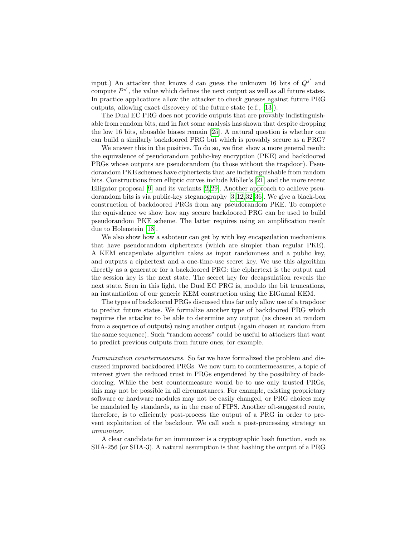input.) An attacker that knows d can guess the unknown 16 bits of  $Q^{s'}$  and compute  $P^{s'}$ , the value which defines the next output as well as all future states. In practice applications allow the attacker to check guesses against future PRG outputs, allowing exact discovery of the future state (c.f., [\[13\]](#page-23-7)).

The Dual EC PRG does not provide outputs that are provably indistinguishable from random bits, and in fact some analysis has shown that despite dropping the low 16 bits, abusable biases remain [\[25\]](#page-24-7). A natural question is whether one can build a similarly backdoored PRG but which is provably secure as a PRG?

We answer this in the positive. To do so, we first show a more general result: the equivalence of pseudorandom public-key encryption (PKE) and backdoored PRGs whose outputs are pseudorandom (to those without the trapdoor). Pseudorandom PKE schemes have ciphertexts that are indistinguishable from random bits. Constructions from elliptic curves include Möller's [\[21\]](#page-24-8) and the more recent Elligator proposal [\[9\]](#page-23-8) and its variants [\[2,](#page-23-9) [29\]](#page-24-9). Another approach to achieve pseudorandom bits is via public-key steganography [\[3,](#page-23-10)[12,](#page-23-11)[32,](#page-24-10)[36\]](#page-24-11). We give a black-box construction of backdoored PRGs from any pseudorandom PKE. To complete the equivalence we show how any secure backdoored PRG can be used to build pseudorandom PKE scheme. The latter requires using an amplification result due to Holenstein [\[18\]](#page-24-12).

We also show how a saboteur can get by with key encapsulation mechanisms that have pseudorandom ciphertexts (which are simpler than regular PKE). A KEM encapsulate algorithm takes as input randomness and a public key, and outputs a ciphertext and a one-time-use secret key. We use this algorithm directly as a generator for a backdoored PRG: the ciphertext is the output and the session key is the next state. The secret key for decapsulation reveals the next state. Seen in this light, the Dual EC PRG is, modulo the bit truncations, an instantiation of our generic KEM construction using the ElGamal KEM.

The types of backdoored PRGs discussed thus far only allow use of a trapdoor to predict future states. We formalize another type of backdoored PRG which requires the attacker to be able to determine any output (as chosen at random from a sequence of outputs) using another output (again chosen at random from the same sequence). Such "random access" could be useful to attackers that want to predict previous outputs from future ones, for example.

Immunization countermeasures. So far we have formalized the problem and discussed improved backdoored PRGs. We now turn to countermeasures, a topic of interest given the reduced trust in PRGs engendered by the possibility of backdooring. While the best countermeasure would be to use only trusted PRGs, this may not be possible in all circumstances. For example, existing proprietary software or hardware modules may not be easily changed, or PRG choices may be mandated by standards, as in the case of FIPS. Another oft-suggested route, therefore, is to efficiently post-process the output of a PRG in order to prevent exploitation of the backdoor. We call such a post-processing strategy an immunizer.

A clear candidate for an immunizer is a cryptographic hash function, such as SHA-256 (or SHA-3). A natural assumption is that hashing the output of a PRG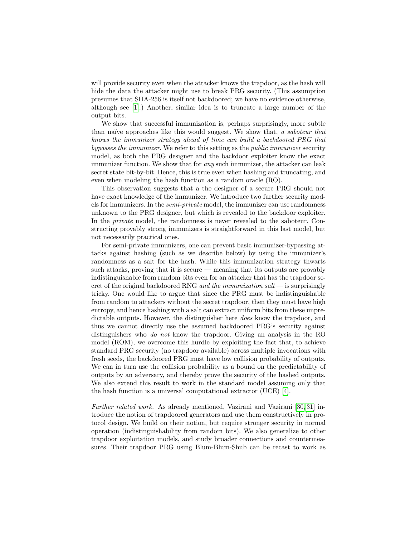will provide security even when the attacker knows the trapdoor, as the hash will hide the data the attacker might use to break PRG security. (This assumption presumes that SHA-256 is itself not backdoored; we have no evidence otherwise, although see [\[1\]](#page-23-12).) Another, similar idea is to truncate a large number of the output bits.

We show that successful immunization is, perhaps surprisingly, more subtle than naïve approaches like this would suggest. We show that, a saboteur that knows the immunizer strategy ahead of time can build a backdoored PRG that bypasses the immunizer. We refer to this setting as the public immunizer security model, as both the PRG designer and the backdoor exploiter know the exact immunizer function. We show that for *any* such immunizer, the attacker can leak secret state bit-by-bit. Hence, this is true even when hashing and truncating, and even when modeling the hash function as a random oracle (RO).

This observation suggests that a the designer of a secure PRG should not have exact knowledge of the immunizer. We introduce two further security models for immunizers. In the semi-private model, the immunizer can use randomness unknown to the PRG designer, but which is revealed to the backdoor exploiter. In the private model, the randomness is never revealed to the saboteur. Constructing provably strong immunizers is straightforward in this last model, but not necessarily practical ones.

For semi-private immunizers, one can prevent basic immunizer-bypassing attacks against hashing (such as we describe below) by using the immunizer's randomness as a salt for the hash. While this immunization strategy thwarts such attacks, proving that it is secure — meaning that its outputs are provably indistinguishable from random bits even for an attacker that has the trapdoor secret of the original backdoored RNG and the immunization salt  $-$  is surprisingly tricky. One would like to argue that since the PRG must be indistinguishable from random to attackers without the secret trapdoor, then they must have high entropy, and hence hashing with a salt can extract uniform bits from these unpredictable outputs. However, the distinguisher here *does* know the trapdoor, and thus we cannot directly use the assumed backdoored PRG's security against distinguishers who do not know the trapdoor. Giving an analysis in the RO model (ROM), we overcome this hurdle by exploiting the fact that, to achieve standard PRG security (no trapdoor available) across multiple invocations with fresh seeds, the backdoored PRG must have low collision probability of outputs. We can in turn use the collision probability as a bound on the predictability of outputs by an adversary, and thereby prove the security of the hashed outputs. We also extend this result to work in the standard model assuming only that the hash function is a universal computational extractor (UCE) [\[4\]](#page-23-13).

Further related work. As already mentioned, Vazirani and Vazirani [\[30,](#page-24-3) [31\]](#page-24-4) introduce the notion of trapdoored generators and use them constructively in protocol design. We build on their notion, but require stronger security in normal operation (indistinguishability from random bits). We also generalize to other trapdoor exploitation models, and study broader connections and countermeasures. Their trapdoor PRG using Blum-Blum-Shub can be recast to work as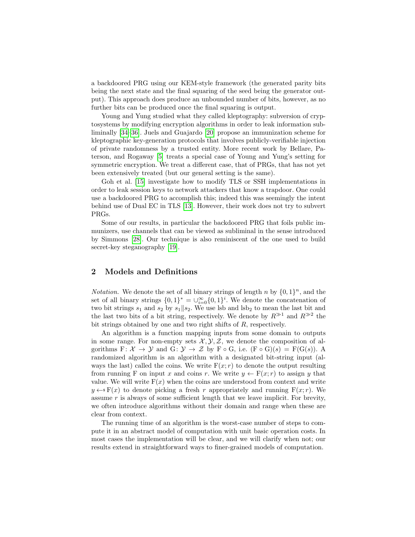a backdoored PRG using our KEM-style framework (the generated parity bits being the next state and the final squaring of the seed being the generator output). This approach does produce an unbounded number of bits, however, as no further bits can be produced once the final squaring is output.

Young and Yung studied what they called kleptography: subversion of cryptosystems by modifying encryption algorithms in order to leak information subliminally [\[34–](#page-24-13)[36\]](#page-24-11). Juels and Guajardo [\[20\]](#page-24-14) propose an immunization scheme for kleptographic key-generation protocols that involves publicly-verifiable injection of private randomness by a trusted entity. More recent work by Bellare, Paterson, and Rogaway [\[5\]](#page-23-14) treats a special case of Young and Yung's setting for symmetric encryption. We treat a different case, that of PRGs, that has not yet been extensively treated (but our general setting is the same).

Goh et al. [\[15\]](#page-23-15) investigate how to modify TLS or SSH implementations in order to leak session keys to network attackers that know a trapdoor. One could use a backdoored PRG to accomplish this; indeed this was seemingly the intent behind use of Dual EC in TLS [\[13\]](#page-23-7). However, their work does not try to subvert PRGs.

Some of our results, in particular the backdoored PRG that foils public immunizers, use channels that can be viewed as subliminal in the sense introduced by Simmons [\[28\]](#page-24-15). Our technique is also reminiscent of the one used to build secret-key steganography [\[19\]](#page-24-16).

# 2 Models and Definitions

*Notation*. We denote the set of all binary strings of length n by  $\{0,1\}^n$ , and the set of all binary strings  $\{0,1\}^* = \bigcup_{i=0}^{\infty} \{0,1\}^i$ . We denote the concatenation of two bit strings  $s_1$  and  $s_2$  by  $s_1||s_2$ . We use lsb and lsb<sub>2</sub> to mean the last bit and the last two bits of a bit string, respectively. We denote by  $R^{\gg 1}$  and  $R^{\gg 2}$  the bit strings obtained by one and two right shifts of R, respectively.

An algorithm is a function mapping inputs from some domain to outputs in some range. For non-empty sets  $\mathcal{X}, \mathcal{Y}, \mathcal{Z}$ , we denote the composition of algorithms  $F: \mathcal{X} \to \mathcal{Y}$  and  $G: \mathcal{Y} \to \mathcal{Z}$  by  $F \circ G$ , i.e.  $(F \circ G)(s) = F(G(s))$ . A randomized algorithm is an algorithm with a designated bit-string input (always the last) called the coins. We write  $F(x; r)$  to denote the output resulting from running F on input x and coins r. We write  $y \leftarrow F(x; r)$  to assign y that value. We will write  $F(x)$  when the coins are understood from context and write  $y \leftarrow s F(x)$  to denote picking a fresh r appropriately and running  $F(x; r)$ . We assume r is always of some sufficient length that we leave implicit. For brevity, we often introduce algorithms without their domain and range when these are clear from context.

The running time of an algorithm is the worst-case number of steps to compute it in an abstract model of computation with unit basic operation costs. In most cases the implementation will be clear, and we will clarify when not; our results extend in straightforward ways to finer-grained models of computation.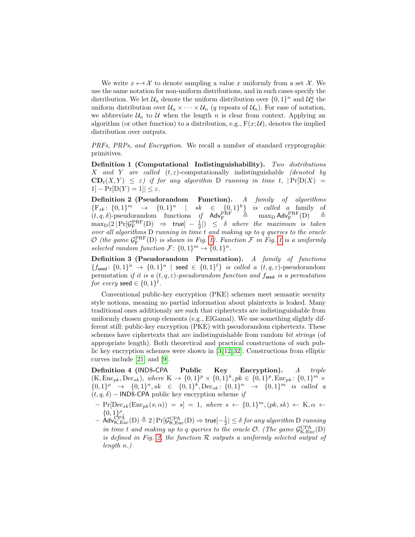We write  $x \leftarrow s \mathcal{X}$  to denote sampling a value x uniformly from a set X. We use the same notation for non-uniform distributions, and in such cases specify the distribution. We let  $\mathcal{U}_n$  denote the uniform distribution over  $\{0,1\}^n$  and  $\mathcal{U}_n^q$  the uniform distribution over  $\mathcal{U}_n \times \cdots \times \mathcal{U}_n$  (q repeats of  $\mathcal{U}_n$ ). For ease of notation, we abbreviate  $\mathcal{U}_n$  to  $\mathcal{U}$  when the length n is clear from context. Applying an algorithm (or other function) to a distribution, e.g.,  $F(x; U)$ , denotes the implied distribution over outputs.

PRFs, PRPs, and Encryption. We recall a number of standard cryptographic primitives.

Definition 1 (Computational Indistinguishability). Two distributions X and Y are called  $(t, \varepsilon)$ -computationally indistinguishable *(denoted by*  $CD_t(X, Y) \leq \varepsilon$ ) if for any algorithm D running in time t,  $\Pr[D(X) =$  $1$ ] –  $Pr[D(Y) = 1] \leq \varepsilon$ .

Definition 2 (Pseudorandom Function). A family of algorithms  $\{F_{sk}: \{0,1\}^m \rightarrow \{0,1\}^n \mid sk \in \{0,1\}^k\}$  is called a family of  $(t, q, \delta)$ -pseudorandom functions if  $\text{Adv}_{\text{F}}^{\text{PRF}}$   $\hat{\triangle}$   $\text{max}_{\text{D}} \text{Adv}_{\text{F}}^{\text{PRF}}(\text{D})$   $\hat{\triangle}$  $\max_D(2 | \Pr[\mathcal{G}_F^{\mathrm{PRF}}(D) \Rightarrow \mathsf{true}] - \frac{1}{2}|) \leq \delta$  where the maximum is taken over all algorithms D running in time t and making up to q queries to the oracle  $\mathcal O$  (the game  $\mathcal G_F^{\rm PRF}(\mathrm D)$  is shown in Fig. [1\)](#page-6-0). Function  $\mathcal F$  in Fig. [1](#page-6-0) is a uniformly selected random function  $\mathcal{F} \colon \{0,1\}^m \to \{0,1\}^n$ .

Definition 3 (Pseudorandom Permutation). A family of functions  $\{f_{\text{seed}}: \{0,1\}^n \to \{0,1\}^n \mid \text{seed} \in \{0,1\}^{\ell}\}\$  is called a  $(t, q, \varepsilon)$ -pseudorandom permutation if it is a  $(t, q, \varepsilon)$ -pseudorandom function and f<sub>seed</sub> is a permutation for every seed  $\in \{0,1\}^{\ell}$ .

Conventional public-key encryption (PKE) schemes meet semantic security style notions, meaning no partial information about plaintexts is leaked. Many traditional ones additionaly are such that ciphertexts are indistinguishable from uniformly chosen group elements (e.g., ElGamal). We use something slightly different still: public-key encryption (PKE) with pseudorandom ciphertexts. These schemes have ciphertexts that are indistinguishable from random bit strings (of appropriate length). Both theoretical and practical constructions of such public key encryption schemes were shown in [\[3,](#page-23-10) [12,](#page-23-11) [32\]](#page-24-10). Constructions from elliptic curves include [\[21\]](#page-24-8) and [\[9\]](#page-23-8).

Definition 4 (IND\$-CPA Public Key Encryption). A triple  $(K, Enc_{pk}, Dec_{sk}),$  where  $K \to \{0, 1\}^p \times \{0, 1\}^k, pk \in \{0, 1\}^p, Enc_{pk}: \{0, 1\}^m \times$  ${0,1}^{\rho} \rightarrow {0,1}^n, sk \in {0,1}^k, \text{Dec}_{sk}: {0,1}^n \rightarrow {0,1}^m \text{ is called a }$  $(t, q, \delta)$  – IND\$-CPA public key encryption scheme if

- $\Pr[\text{Dec}_{sk}(\text{Enc}_{pk}(s; \alpha)) = s] = 1, \text{ where } s \leftarrow \{0, 1\}^m, (pk, sk) \leftarrow K, \alpha \leftarrow$  ${0,1}^{\rho},$
- $-$  Adv ${}_{\rm K,Enc}^{\rm CPA}$ (D)  $\triangleq 2$  | Pr $[G_{\rm K,Enc}^{\rm CPA}(D) \Rightarrow$  true] $-\frac{1}{2}$ | ≤ δ for any algorithm D running in time t and making up to q queries to the oracle  $\mathcal{O}$ . (The game  $\mathcal{G}^{\text{CPA}}_{\text{K,Enc}}(D)$ CPA is defined in Fig. [2,](#page-6-1) the function  $R$  outputs a uniformly selected output of length n.)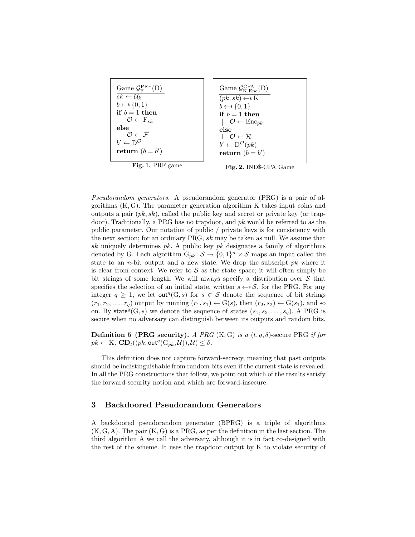

<span id="page-6-1"></span><span id="page-6-0"></span>Pseudorandom generators. A pseudorandom generator (PRG) is a pair of algorithms (K, G). The parameter generation algorithm K takes input coins and outputs a pair  $(pk, sk)$ , called the public key and secret or private key (or trapdoor). Traditionally, a PRG has no trapdoor, and  $pk$  would be referred to as the public parameter. Our notation of public / private keys is for consistency with the next section; for an ordinary PRG, sk may be taken as null. We assume that sk uniquely determines  $pk$ . A public key  $pk$  designates a family of algorithms denoted by G. Each algorithm  $G_{pk}: \mathcal{S} \to \{0,1\}^n \times \mathcal{S}$  maps an input called the state to an *n*-bit output and a new state. We drop the subscript  $pk$  where it is clear from context. We refer to  $S$  as the state space; it will often simply be bit strings of some length. We will always specify a distribution over  $S$  that specifies the selection of an initial state, written  $s \leftarrow s \mathcal{S}$ , for the PRG. For any integer  $q \geq 1$ , we let out<sup>q</sup>(G, s) for  $s \in S$  denote the sequence of bit strings  $(r_1, r_2, \ldots, r_q)$  output by running  $(r_1, s_1) \leftarrow G(s)$ , then  $(r_2, s_2) \leftarrow G(s_1)$ , and so on. By state  $q(G, s)$  we denote the sequence of states  $(s_1, s_2, \ldots, s_q)$ . A PRG is secure when no adversary can distinguish between its outputs and random bits.

**Definition 5 (PRG security).** A PRG (K, G) is a  $(t, q, \delta)$ -secure PRG if for  $pk \leftarrow K$ ,  $CD_t((pk, \text{out}^q(G_{pk}, \mathcal{U})), \mathcal{U}) \leq \delta$ .

This definition does not capture forward-secrecy, meaning that past outputs should be indistinguishable from random bits even if the current state is revealed. In all the PRG constructions that follow, we point out which of the results satisfy the forward-security notion and which are forward-insecure.

## 3 Backdoored Pseudorandom Generators

A backdoored pseudorandom generator (BPRG) is a triple of algorithms  $(K, G, A)$ . The pair  $(K, G)$  is a PRG, as per the definition in the last section. The third algorithm A we call the adversary, although it is in fact co-designed with the rest of the scheme. It uses the trapdoor output by K to violate security of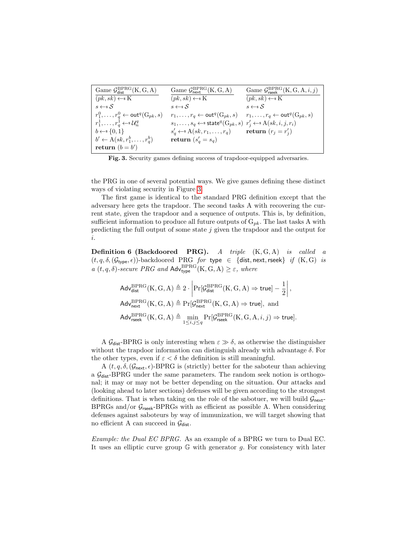| Game $\mathcal{G}_{\text{dist}}^{\text{BPRG}}(K, G, A)$     | Game $\mathcal{G}_{\text{next}}^{\text{BPRG}}(K, G, A)$                                                       | Game $\mathcal{G}^{\text{BPRG}}_{\text{rseek}}(K, G, A, i, j)$ |
|-------------------------------------------------------------|---------------------------------------------------------------------------------------------------------------|----------------------------------------------------------------|
| $(pk, sk) \leftarrow k$                                     | $(pk, sk) \leftarrow k$                                                                                       | $(pk, sk) \leftarrow k$                                        |
| $s \leftarrow s S$                                          | $s \leftarrow s S$                                                                                            | $s \leftarrow s S$                                             |
| $r_1^0, \ldots, r_q^0 \leftarrow \textsf{out}^q(G_{pk}, s)$ | $r_1,\ldots,r_q \leftarrow \textsf{out}^q(G_{pk},s) \quad r_1,\ldots,r_q \leftarrow \textsf{out}^q(G_{pk},s)$ |                                                                |
| $r_1^1, \ldots, r_a^1 \leftarrow \mathcal{U}_n^q$           | $s_1, \ldots, s_q \leftarrow s$ state <sup>q</sup> $(G_{pk}, s)$ $r'_j \leftarrow s A(sk, i, j, r_i)$         |                                                                |
| $b \leftarrow \{0, 1\}$                                     | $s'_q \leftarrow \mathbf{A}(sk, r_1, \dots, r_q)$ return $(r_j = r'_j)$                                       |                                                                |
| $b' \leftarrow A(sk, r_1^b, \ldots, r_q^b)$                 | return $(s'_q = s_q)$                                                                                         |                                                                |
| return $(b = b')$                                           |                                                                                                               |                                                                |

<span id="page-7-0"></span>Fig. 3. Security games defining success of trapdoor-equipped adversaries.

the PRG in one of several potential ways. We give games defining these distinct ways of violating security in Figure [3.](#page-7-0)

The first game is identical to the standard PRG definition except that the adversary here gets the trapdoor. The second tasks A with recovering the current state, given the trapdoor and a sequence of outputs. This is, by definition, sufficient information to produce all future outputs of  $G_{pk}$ . The last tasks A with predicting the full output of some state  $j$  given the trapdoor and the output for i.

**Definition 6 (Backdoored PRG).** A triple  $(K, G, A)$  is called a  $(t, q, \delta, (\mathcal{G}_{type}, \epsilon))$ -backdoored PRG for type  $\in$  {dist, next, rseek} if  $(K, G)$  is a  $(t, q, \delta)$ -secure PRG and Adv<sub>type</sub>  $(K, G, A) \geq \varepsilon$ , where

$$
\begin{aligned}\n\mathsf{Adv}_{\mathsf{dist}}^{\mathsf{BPRG}}(\mathbf{K}, \mathbf{G}, \mathbf{A}) &\triangleq 2 \cdot \left| \Pr[\mathcal{G}_{\mathsf{dist}}^{\mathsf{BPRG}}(\mathbf{K}, \mathbf{G}, \mathbf{A}) \Rightarrow \mathsf{true}] - \frac{1}{2} \right|, \\
\mathsf{Adv}_{\mathsf{next}}^{\mathsf{BPRG}}(\mathbf{K}, \mathbf{G}, \mathbf{A}) &\triangleq \Pr[\mathcal{G}_{\mathsf{next}}^{\mathsf{BPRG}}(\mathbf{K}, \mathbf{G}, \mathbf{A}) \Rightarrow \mathsf{true}], \text{ and} \\
\mathsf{Adv}_{\mathsf{resek}}^{\mathsf{BPRG}}(\mathbf{K}, \mathbf{G}, \mathbf{A}) &\triangleq \min_{1 \leq i, j \leq q} \Pr[\mathcal{G}_{\mathsf{resek}}^{\mathsf{BPRG}}(\mathbf{K}, \mathbf{G}, \mathbf{A}, i, j) \Rightarrow \mathsf{true}].\n\end{aligned}
$$

A  $\mathcal{G}_{\text{dist}}$ -BPRG is only interesting when  $\varepsilon \gg \delta$ , as otherwise the distinguisher without the trapdoor information can distinguish already with advantage  $\delta$ . For the other types, even if  $\varepsilon < \delta$  the definition is still meaningful.

A  $(t, q, \delta, (\mathcal{G}_{\text{next}}, \epsilon)$ -BPRG is (strictly) better for the saboteur than achieving a  $\mathcal{G}_{\text{dist}}$ -BPRG under the same parameters. The random seek notion is orthogonal; it may or may not be better depending on the situation. Our attacks and (looking ahead to later sections) defenses will be given according to the strongest definitions. That is when taking on the role of the sabotuer, we will build  $\mathcal{G}_{\text{next}}$ -BPRGs and/or  $\mathcal{G}_{\text{rseek}}$ -BPRGs with as efficient as possible A. When considering defenses against saboteurs by way of immunization, we will target showing that no efficient A can succeed in  $\mathcal{G}_{\text{dist}}$ .

Example: the Dual EC BPRG. As an example of a BPRG we turn to Dual EC. It uses an elliptic curve group  $\mathbb G$  with generator g. For consistency with later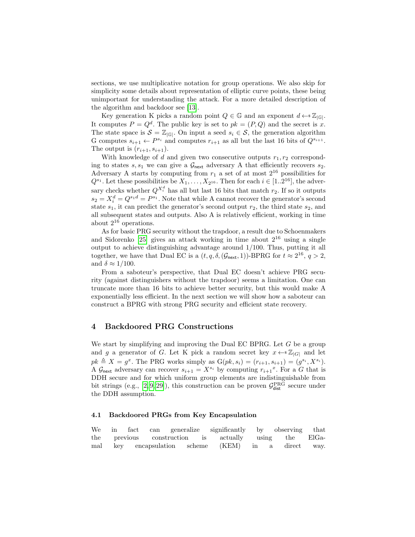sections, we use multiplicative notation for group operations. We also skip for simplicity some details about representation of elliptic curve points, these being unimportant for understanding the attack. For a more detailed description of the algorithm and backdoor see [\[13\]](#page-23-7).

Key generation K picks a random point  $Q \in \mathbb{G}$  and an exponent  $d \leftarrow \mathbb{Z}_{|\mathbb{G}|}$ . It computes  $P = Q^d$ . The public key is set to  $pk = (P, Q)$  and the secret is x. The state space is  $S = \mathbb{Z}_{|\mathbb{G}|}$ . On input a seed  $s_i \in S$ , the generation algorithm G computes  $s_{i+1} \leftarrow P^{s_i}$  and computes  $r_{i+1}$  as all but the last 16 bits of  $Q^{s_{i+1}}$ . The output is  $(r_{i+1}, s_{i+1})$ .

With knowledge of d and given two consecutive outputs  $r_1, r_2$  corresponding to states s,  $s_1$  we can give a  $\mathcal{G}_{\text{next}}$  adversary A that efficiently recovers  $s_2$ . Adversary A starts by computing from  $r_1$  a set of at most  $2^{16}$  possibilities for  $Q^{s_1}$ . Let these possibilities be  $X_1, \ldots, X_{2^{16}}$ . Then for each  $i \in [1..2^{16}]$ , the adversary checks whether  $Q^{X_i^d}$  has all but last 16 bits that match  $r_2$ . If so it outputs  $s_2 = X_i^d = Q^{s_1 d} = P^{s_1}$ . Note that while A cannot recover the generator's second state  $s_1$ , it can predict the generator's second output  $r_2$ , the third state  $s_2$ , and all subsequent states and outputs. Also A is relatively efficient, working in time about  $2^{16}$  operations.

As for basic PRG security without the trapdoor, a result due to Schoenmakers and Sidorenko  $[25]$  gives an attack working in time about  $2^{16}$  using a single output to achieve distinguishing advantage around 1/100. Thus, putting it all together, we have that Dual EC is a  $(t, q, \delta, (\mathcal{G}_{\text{next}}, 1))$ -BPRG for  $t \approx 2^{16}$ ,  $q > 2$ , and  $\delta \approx 1/100$ .

From a saboteur's perspective, that Dual EC doesn't achieve PRG security (against distinguishers without the trapdoor) seems a limitation. One can truncate more than 16 bits to achieve better security, but this would make A exponentially less efficient. In the next section we will show how a saboteur can construct a BPRG with strong PRG security and efficient state recovery.

## 4 Backdoored PRG Constructions

We start by simplifying and improving the Dual EC BPRG. Let  $G$  be a group and g a generator of G. Let K pick a random secret key  $x \leftarrow \mathbb{Z}_{|G|}$  and let  $pk \triangleq X = g^x$ . The PRG works simply as  $G(pk, s_i) = (r_{i+1}, s_{i+1}) = (g^{s_i}, X^{s_i})$ . A  $\mathcal{G}_{\text{next}}$  adversary can recover  $s_{i+1} = X^{s_i}$  by computing  $r_{i+1}$ <sup>x</sup>. For a G that is DDH secure and for which uniform group elements are indistinguishable from bit strings (e.g., [\[2,](#page-23-9) [9,](#page-23-8) [29\]](#page-24-9)), this construction can be proven  $\mathcal{G}_{\text{dist}}^{\text{PRG}}$  secure under the DDH assumption.

#### 4.1 Backdoored PRGs from Key Encapsulation

We in fact can generalize significantly by observing that the previous construction is actually using the ElGamal key encapsulation scheme (KEM) in a direct way.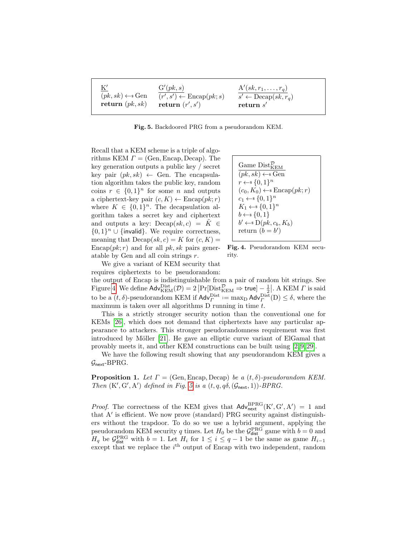| K'                                 | G'(pk, s)                                 | $A'(sk, r_1, \ldots, r_q)$            |
|------------------------------------|-------------------------------------------|---------------------------------------|
| $(pk, sk) \leftarrow s \text{Gen}$ | $(r', s') \leftarrow \text{Encap}(pk; s)$ | $s' \leftarrow \text{Decap}(sk, r_a)$ |
| return $(pk, sk)$                  | return $(r', s')$                         | return $s'$                           |

<span id="page-9-1"></span>Fig. 5. Backdoored PRG from a pseudorandom KEM.

Recall that a KEM scheme is a triple of algorithms KEM  $\Gamma = (\text{Gen}, \text{Encap}, \text{Decap})$ . The key generation outputs a public key / secret key pair  $(pk, sk) \leftarrow$  Gen. The encapsulation algorithm takes the public key, random coins  $r \in \{0,1\}^n$  for some *n* and outputs a ciphertext-key pair  $(c, K) \leftarrow \text{Encap}(pk; r)$ where  $K \in \{0,1\}^n$ . The decapsulation algorithm takes a secret key and ciphertext and outputs a key:  $Decap(sk, c) = K \in$  $\{0,1\}^n \cup \{\text{invalid}\}\$ . We require correctness, meaning that  $Decap(sk, c) = K$  for  $(c, K) =$  $\text{Encap}(pk; r)$  and for all  $pk, sk$  pairs generatable by Gen and all coin strings r.

$$
Game Dist_{KEM}^{\mathcal{D}}
$$
  
\n
$$
(pk, sk) \leftarrow s Gen
$$
  
\n
$$
r \leftarrow s \{0, 1\}^n
$$
  
\n
$$
(c_0, K_0) \leftarrow s \text{Encap}(pk; r)
$$
  
\n
$$
c_1 \leftarrow s \{0, 1\}^n
$$
  
\n
$$
K_1 \leftarrow s \{0, 1\}^n
$$
  
\n
$$
b \leftarrow s \{0, 1\}
$$
  
\n
$$
b' \leftarrow s \text{D}(pk, c_b, K_b)
$$
  
\nreturn 
$$
(b = b')
$$

<span id="page-9-0"></span>Fig. 4. Pseudorandom KEM security.

We give a variant of KEM security that requires ciphertexts to be pseudorandom:

the output of Encap is indistinguishable from a pair of random bit strings. See Figure [4.](#page-9-0) We define  $\mathsf{Adv}_{\mathsf{KEM}}^{\mathsf{Dist}}(\mathcal{D}) = 2 \left| \Pr[\mathsf{Dist}_{\mathsf{KEM}}^{\mathcal{D}} \Rightarrow \mathsf{true}] - \frac{1}{2} \right|$ . A KEM  $\Gamma$  is said to be a  $(t, \delta)$ -pseudorandom KEM if  $\mathsf{Adv}_{\Gamma}^{\mathsf{Dist}} := \max_{D} \mathsf{Adv}_{\Gamma}^{\mathsf{Dist}}(D) \leq \delta$ , where the maximum is taken over all algorithms  $D$  running in time  $t$ .

This is a strictly stronger security notion than the conventional one for KEMs [\[26\]](#page-24-17), which does not demand that ciphertexts have any particular appearance to attackers. This stronger pseudorandomness requirement was first introduced by Möller [\[21\]](#page-24-8). He gave an elliptic curve variant of ElGamal that provably meets it, and other KEM constructions can be built using [\[2,](#page-23-9) [9,](#page-23-8) [29\]](#page-24-9).

We have the following result showing that any pseudorandom KEM gives a  $\mathcal{G}_{\text{next}}$ -BPRG.

<span id="page-9-2"></span>**Proposition 1.** Let  $\Gamma = (\text{Gen}, \text{Encap}, \text{Decap})$  be a  $(t, \delta)$ -pseudorandom KEM. Then  $(K', G', A')$  defined in Fig. [5](#page-9-1) is a  $(t, q, q\delta, (\mathcal{G}_{\text{next}}, 1))$ -BPRG.

*Proof.* The correctness of the KEM gives that  $\mathsf{Adv}_{\mathsf{next}}^{\text{BPRG}}(K', G', A') = 1$  and that A' is efficient. We now prove (standard) PRG security against distinguishers without the trapdoor. To do so we use a hybrid argument, applying the pseudorandom KEM security q times. Let  $H_0$  be the  $\mathcal{G}_{\text{dist}}^{\text{PRG}}$  game with  $b = 0$  and  $H_q$  be  $\mathcal{G}_{\text{dist}}^{\text{PRG}}$  with  $b = 1$ . Let  $H_i$  for  $1 \leq i \leq q-1$  be the same as game  $H_{i-1}$ except that we replace the  $i<sup>th</sup>$  output of Encap with two independent, random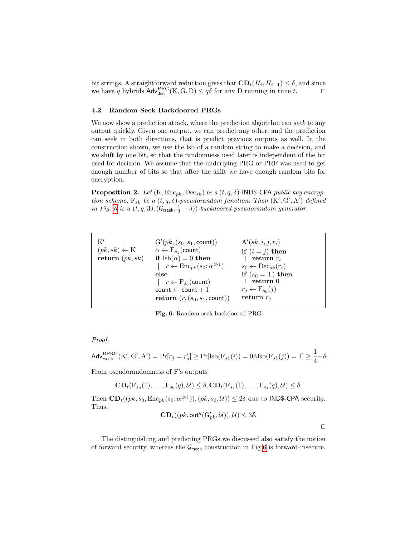bit strings. A straightforward reduction gives that  $CD_t(H_i, H_{i+1}) \leq \delta$ , and since we have q hybrids  $\mathsf{Adv}_{\mathsf{dist}}^{\text{PRG}}(K, G, D) \leq q\delta$  for any D running in time t.

#### 4.2 Random Seek Backdoored PRGs

We now show a prediction attack, where the prediction algorithm can seek to any output quickly. Given one output, we can predict any other, and the prediction can seek in both directions, that is predict previous outputs as well. In the construction shown, we use the lsb of a random string to make a decision, and we shift by one bit, so that the randomness used later is independent of the bit used for decision. We assume that the underlying PRG or PRF was used to get enough number of bits so that after the shift we have enough random bits for encryption.

**Proposition 2.** Let  $(K, Enc_{pk}, Dec_{sk})$  be a  $(t, q, \delta)$ -IND\$-CPA public key encryption scheme,  $F_{sk}$  be a  $(t, q, \delta)$ -pseudorandom function. Then  $(K', G', A')$  defined in Fig. [6](#page-10-0) is a  $(t, q, 3\delta, (\mathcal{G}_{\text{rseek}}, \frac{1}{4} - \delta))$ -backdoored pseudorandom generator.

| K'<br>$(pk, sk) \leftarrow K$<br>return $(pk, sk)$ | $G'(pk, (s_0, s_1, count))$<br>$\alpha \leftarrow F_{s_1}(\text{count})$<br>if $\text{lsb}(\alpha) = 0$ then<br>$r \leftarrow \text{Enc}_{pk}(s_0; \alpha^{\gg 1})$ | $A'(sk, i, j, r_i)$<br>if $(i = j)$ then<br>  return $r_i$<br>$s_0 \leftarrow \text{Dec}_{sk}(r_i)$ |
|----------------------------------------------------|---------------------------------------------------------------------------------------------------------------------------------------------------------------------|-----------------------------------------------------------------------------------------------------|
|                                                    | else<br>$\vert \quad r \leftarrow F_{s_0}(\text{count})$<br>count $\leftarrow$ count $+1$<br>return $(r, (s_0, s_1, \text{count}))$                                 | if $(s_0 = \perp)$ then<br>return 0<br>$r_i \leftarrow F_{s_0}(j)$<br>return $r_i$                  |

<span id="page-10-0"></span>Fig. 6. Random seek backdoored PRG

Proof.

$$
\mathsf{Adv}_{\mathsf{rseek}}^{\mathsf{BPRG}}(\mathsf{K}', \mathsf{G}', \mathsf{A}') = \Pr[r_j = r'_j] \ge \Pr[\mathrm{lsb}(\mathsf{F}_{s1}(i)) = 0 \land \mathrm{lsb}(\mathsf{F}_{s1}(j)) = 1] \ge \frac{1}{4} - \delta.
$$

From pseudorandomness of F's outputs

$$
\mathbf{CD}_{t}(\mathbf{F}_{s_0}(1),\ldots,\mathbf{F}_{s_0}(q),\mathcal{U}) \leq \delta, \mathbf{CD}_{t}(\mathbf{F}_{s_1}(1),\ldots,\mathbf{F}_{s_1}(q),\mathcal{U}) \leq \delta.
$$

Then  $CD_t((pk, s_0, Enc_{pk}(s_0; \alpha^{\geq 1})),(pk, s_0, \mathcal{U})) \leq 2\delta$  due to IND\$-CPA security. Thus,

$$
\mathbf{CD}_t((pk, \mathsf{out}^q(G'_{pk}, \mathcal{U})), \mathcal{U}) \leq 3\delta.
$$

 $\Box$ 

The distinguishing and predicting PRGs we discussed also satisfy the notion of forward security, whereas the  $G_{\text{rseek}}$  construction in Fig [6](#page-10-0) is forward-insecure.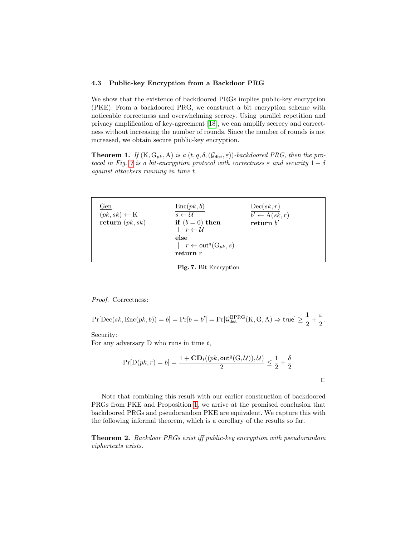#### 4.3 Public-key Encryption from a Backdoor PRG

We show that the existence of backdoored PRGs implies public-key encryption (PKE). From a backdoored PRG, we construct a bit encryption scheme with noticeable correctness and overwhelming secrecy. Using parallel repetition and privacy amplification of key-agreement [\[18\]](#page-24-12), we can amplify secrecy and correctness without increasing the number of rounds. Since the number of rounds is not increased, we obtain secure public-key encryption.

**Theorem 1.** If  $(K, G_{pk}, A)$  is a  $(t, q, \delta, (\mathcal{G}_{dist}, \varepsilon))$ -backdoored PRG, then the pro-tocol in Fig. [7](#page-11-0) is a bit-encryption protocol with correctness  $\varepsilon$  and security  $1 - \delta$ against attackers running in time t.

| Gen<br>$(pk, sk) \leftarrow K$<br>return $(pk, sk)$ | Enc(pk, b)<br>$s \leftarrow \mathcal{U}$<br>if $(b = 0)$ then<br>$r \leftarrow U$ | Dec(sk, r)<br>$b' \leftarrow A(\mathit{sk}, r)$<br>return $b'$ |
|-----------------------------------------------------|-----------------------------------------------------------------------------------|----------------------------------------------------------------|
|                                                     | else<br>$\vert \quad r \leftarrow \text{out}^q(G_{pk}, s)$<br>return $r$          |                                                                |

<span id="page-11-0"></span>Fig. 7. Bit Encryption

#### Proof. Correctness:

 $\Pr[\text{Dec}(sk, \text{Enc}(pk, b)) = b] = \Pr[b = b'] = \Pr[\mathcal{G}_{\textsf{dist}}^{\text{BPRG}}(\text{K}, \text{G}, \text{A}) \Rightarrow \textsf{true}] \geq \frac{1}{2}$  $\frac{1}{2} + \frac{\varepsilon}{2}$  $\frac{1}{2}$ .

## Security:

For any adversary  $D$  who runs in time  $t$ ,

$$
\Pr[D(pk, r) = b] = \frac{1 + \mathbf{CD}_t((pk, \mathsf{out}^q(\mathbf{G}, \mathcal{U})), \mathcal{U})}{2} \le \frac{1}{2} + \frac{\delta}{2}.
$$

Note that combining this result with our earlier construction of backdoored PRGs from PKE and Proposition [1,](#page-9-2) we arrive at the promised conclusion that backdoored PRGs and pseudorandom PKE are equivalent. We capture this with the following informal theorem, which is a corollary of the results so far.

Theorem 2. Backdoor PRGs exist iff public-key encryption with pseudorandom ciphertexts exists.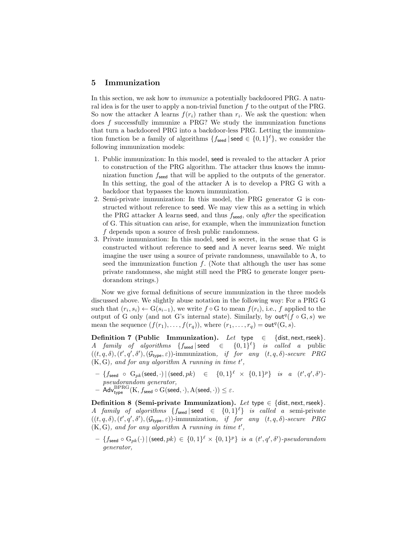## 5 Immunization

In this section, we ask how to *immunize* a potentially backdoored PRG. A natural idea is for the user to apply a non-trivial function  $f$  to the output of the PRG. So now the attacker A learns  $f(r_i)$  rather than  $r_i$ . We ask the question: when does  $f$  successfully immunize a PRG? We study the immunization functions that turn a backdoored PRG into a backdoor-less PRG. Letting the immunization function be a family of algorithms  $\{f_{\text{seed}} | \text{seed} \in \{0,1\}^{\ell}\}$ , we consider the following immunization models:

- 1. Public immunization: In this model, seed is revealed to the attacker A prior to construction of the PRG algorithm. The attacker thus knows the immunization function  $f_{\text{seed}}$  that will be applied to the outputs of the generator. In this setting, the goal of the attacker A is to develop a PRG G with a backdoor that bypasses the known immunization.
- 2. Semi-private immunization: In this model, the PRG generator G is constructed without reference to seed. We may view this as a setting in which the PRG attacker A learns seed, and thus  $f_{\text{seed}}$ , only after the specification of G. This situation can arise, for example, when the immunization function f depends upon a source of fresh public randomness.
- 3. Private immunization: In this model, seed is secret, in the sense that G is constructed without reference to seed and A never learns seed. We might imagine the user using a source of private randomness, unavailable to A, to seed the immunization function  $f$ . (Note that although the user has some private randomness, she might still need the PRG to generate longer pseudorandom strings.)

Now we give formal definitions of secure immunization in the three models discussed above. We slightly abuse notation in the following way: For a PRG G such that  $(r_i, s_i) \leftarrow G(s_{i-1})$ , we write  $f \circ G$  to mean  $f(r_i)$ , i.e., f applied to the output of G only (and not G's internal state). Similarly, by  $\text{out}^q(f \circ G, s)$  we mean the sequence  $(f(r_1),...,f(r_q))$ , where  $(r_1,...,r_q) = \text{out}^q(G,s)$ .

Definition 7 (Public Immunization). Let type  $\in$  {dist, next, rseek}. A family of algorithms  $\{f_{\text{seed}} | \text{seed} \in \{0,1\}^{\ell}\}$  is called a public  $((t, q, \delta), (t', q', \delta'), (\mathcal{G}_{type}, \varepsilon))$ -immunization, if for any  $(t, q, \delta)$ -secure PRG  $(K, G)$ , and for any algorithm A running in time  $t'$ ,

- $\;\{f_{\mathsf{seed}} \;\circ\; \mathrm{G}_{pk}(\mathsf{seed},\cdot)\,|\,(\mathsf{seed},pk) \quad\in\quad \{0,1\}^\ell\;\times\; \{0,1\}^p\} \;\;\;is\;\;\;a\;\;\; (t',q',\delta') \delta$ pseudorandom generator,
- $-\left[\mathsf{Adv}_{\mathsf{type}}^{\mathrm{BPRG}}(\mathrm{K}, f_{\mathsf{seed}} \circ \mathrm{G}(\mathsf{seed}, \cdot), \mathrm{A}(\mathsf{seed}, \cdot)) \leq \varepsilon.$

Definition 8 (Semi-private Immunization). Let type  $\in$  {dist, next, rseek}. A family of algorithms  $\{f_{\text{seed}} | \text{seed} \in \{0,1\}^{\ell}\}\$  is called a semi-private  $((t, q, \delta), (t', q', \delta'), (\mathcal{G}_{type}, \varepsilon))$ -immunization, if for any  $(t, q, \delta)$ -secure PRG  $(K, G)$ , and for any algorithm A running in time  $t'$ ,

 $- \{f_{\mathsf{seed}} \circ G_{pk}(\cdot) \mid (\mathsf{seed}, pk) \in \{0, 1\}^{\ell} \times \{0, 1\}^p\}$  is a  $(t', q', \delta')$ -pseudorandom generator,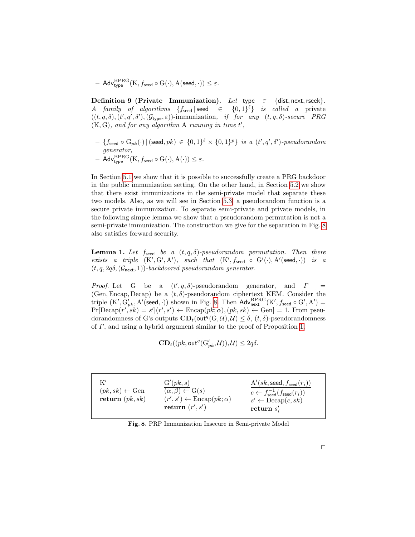$-$  Adv $_{\rm type}^{\rm BPRG}({\rm K}, f_{\rm seed}\circ {\rm G}(\cdot), {\rm A}({\rm seed},\cdot))\leq \varepsilon.$ 

Definition 9 (Private Immunization). Let type  $\in$  {dist, next, rseek}. A family of algorithms  $\{f_{\text{seed}} | \text{seed} \in \{0,1\}^{\ell}\}\$  is called a private  $((t, q, \delta), (t', q', \delta'), (\mathcal{G}_{type}, \varepsilon))$ -immunization, if for any  $(t, q, \delta)$ -secure PRG  $(K, G)$ , and for any algorithm A running in time t',

 $- \{f_{\text{seed}} \circ G_{pk}(\cdot) | (\text{seed}, pk) \in \{0, 1\}^{\ell} \times \{0, 1\}^p \}$  is a  $(t', q', \delta')$ -pseudorandom generator,  $-$  Adv $_{\rm type}^{\rm BPRG}({\rm K}, f_{\rm seed}\circ {\rm G}(\cdot), {\rm A}(\cdot))\leq \varepsilon.$ 

In Section [5.1](#page-14-0) we show that it is possible to successfully create a PRG backdoor in the public immunization setting. On the other hand, in Section [5.2](#page-15-0) we show that there exist immunizations in the semi-private model that separate these two models. Also, as we will see in Section [5.3,](#page-20-0) a pseudorandom function is a secure private immunization. To separate semi-private and private models, in the following simple lemma we show that a pseudorandom permutation is not a semi-private immunization. The construction we give for the separation in Fig. [8](#page-13-0) also satisfies forward security.

**Lemma 1.** Let  $f_{\text{seed}}$  be a  $(t, q, \delta)$ -pseudorandom permutation. Then there exists a triple  $(K', G', A')$ , such that  $(K', f_{\text{seed}} \circ G'(\cdot), A'(\text{seed}, \cdot))$  is a  $(t, q, 2q\delta, (\mathcal{G}_{\text{next}}, 1))$ -backdoored pseudorandom generator.

*Proof.* Let G be a  $(t', q, \delta)$ -pseudorandom generator, and  $\Gamma$  = (Gen, Encap, Decap) be a  $(t, \delta)$ -pseudorandom ciphertext KEM. Consider the triple  $(K', G'_{pk}, A'$ (seed,  $\cdot$ )) shown in Fig. [8.](#page-13-0) Then Adv<sup>BPRG</sup>(K',  $f_{seed} \circ G', A') =$  $Pr[Decap(r', sk) = s' | (r', s') \leftarrow Encap(pk; \alpha), (pk, sk) \leftarrow Gen] = 1.$  From pseudorandomness of G's outputs  $CD_t(\text{out}^q(G, \mathcal{U}), \mathcal{U}) \leq \delta$ ,  $(t, \delta)$ -pseudorandomness of Γ, and using a hybrid argument similar to the proof of Proposition [1,](#page-9-2)

$$
\mathbf{CD}_t((pk, \mathsf{out}^q(G'_{pk}, \mathcal{U})), \mathcal{U}) \le 2q\delta.
$$

| K′<br>$(pk, sk) \leftarrow Gen$<br>return $(pk, sk)$ | G'(pk, s)<br>$\overline{(\alpha,\beta)} \leftarrow G(s)$<br>$(r', s') \leftarrow \text{Encap}(pk; \alpha)$<br>return $(r', s')$ | $A'(sk, \text{seed}, f_{\text{seed}}(r_i))$<br>$c \leftarrow f_{\text{seed}}^{-1}(f_{\text{seed}}(r_i))$<br>$s' \leftarrow \text{Decap}(c, sk)$<br>return $s_i'$ |
|------------------------------------------------------|---------------------------------------------------------------------------------------------------------------------------------|------------------------------------------------------------------------------------------------------------------------------------------------------------------|
|                                                      |                                                                                                                                 |                                                                                                                                                                  |

<span id="page-13-0"></span>Fig. 8. PRP Immunization Insecure in Semi-private Model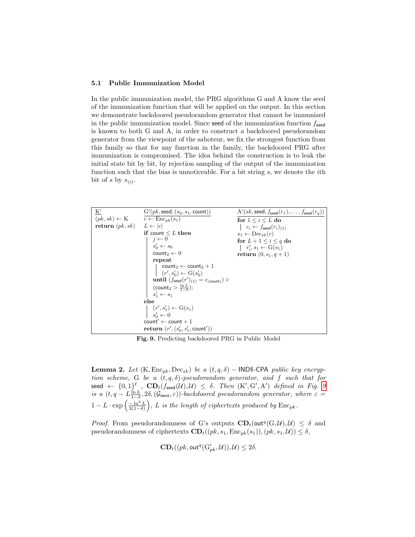#### <span id="page-14-0"></span>5.1 Public Immunization Model

In the public immunization model, the PRG algorithms G and A know the seed of the immunization function that will be applied on the output. In this section we demonstrate backdoored pseudorandom generator that cannot be immunized in the public immunization model. Since seed of the immunization function  $f_{\text{seed}}$ is known to both G and A, in order to construct a backdoored pseudorandom generator from the viewpoint of the saboteur, we fix the strongest function from this family so that for any function in the family, the backdoored PRG after immunization is compromised. The idea behind the construction is to leak the initial state bit by bit, by rejection sampling of the output of the immunization function such that the bias is unnoticeable. For a bit string  $s$ , we denote the *i*th bit of s by  $s_{(i)}$ .

| <u>K′</u>                                                              | $G'(pk, seed, (s_0, s_1, count))$                             | $A'(sk, \text{seed}, f_{\text{seed}}(r_1), \ldots, f_{\text{seed}}(r_q))$ |
|------------------------------------------------------------------------|---------------------------------------------------------------|---------------------------------------------------------------------------|
| $(pk, sk) \leftarrow K$ $\overline{c \leftarrow \text{Enc}_{pk}(s_1)}$ |                                                               | for $1 \leq i \leq L$ do                                                  |
| <b>return</b> $(pk, sk)$ $L \leftarrow  c $                            |                                                               | $\left  c_i \leftarrow f_{\text{seed}}(r_i)_{(1)} \right $                |
|                                                                        | if count $\leq L$ then                                        | $s_1 \leftarrow \text{Dec}_{sk}(c)$                                       |
|                                                                        | $i \leftarrow 0$                                              | for $L+1 \leq i \leq q$ do                                                |
|                                                                        | $s'_0 \leftarrow s_0$                                         | $\left  r'_i, s_1 \leftarrow G(s_1) \right $                              |
|                                                                        | count <sub>2</sub> $\leftarrow$ 0                             | <b>return</b> $(0, s_1, q + 1)$                                           |
|                                                                        | repeat                                                        |                                                                           |
|                                                                        | count <sub>2</sub> $\leftarrow$ count <sub>2</sub> + 1        |                                                                           |
|                                                                        | $(r', s'_0) \leftarrow G(s'_0)$                               |                                                                           |
|                                                                        | until $(f_{\text{seed}}(r')_{(1)} = c_{(\text{count})}) \vee$ |                                                                           |
|                                                                        | $\frac{\ln L}{1-\delta};$                                     |                                                                           |
|                                                                        | $s_1' \leftarrow s_1$                                         |                                                                           |
|                                                                        | else                                                          |                                                                           |
|                                                                        | $(r', s'_1) \leftarrow G(s_1)$<br>$s'_0 \leftarrow 0$         |                                                                           |
|                                                                        |                                                               |                                                                           |
|                                                                        | $count' \leftarrow count + 1$                                 |                                                                           |
|                                                                        | <b>return</b> $(r', (s'_0, s'_1, \text{count}'))$             |                                                                           |

<span id="page-14-1"></span>Fig. 9. Predicting backdoored PRG in Public Model

**Lemma 2.** Let  $(K, Enc_{nk}, Dec_{sk})$  be a  $(t, q, \delta)$  – IND\$-CPA public key encryption scheme, G be a  $(t, q, \delta)$ -pseudorandom generator, and f such that for seed  $\leftarrow \{0,1\}^{\ell}$  ,  $\mathbf{CD}_t(f_{\mathsf{seed}}(\mathcal{U}), \mathcal{U}) \leq \delta$ . Then  $(\mathrm{K}', \mathrm{G}', \mathrm{A}')$  defined in Fig. [9](#page-14-1) is a  $(t, q - L\frac{\ln L}{1-\delta}, 2\delta, (\mathcal{G}_{\text{next}}, \varepsilon))$ -backdoored pseudorandom generator, where  $\varepsilon =$  $1 - L \cdot \exp\left(\frac{-\ln^2 L}{3(1-\delta)}\right)$ , L is the length of ciphertexts produced by  $\text{Enc}_{pk}$ .

*Proof.* From pseudorandomness of G's outputs  $CD_t(\text{out}^q(G, \mathcal{U}), \mathcal{U}) \leq \delta$  and pseudorandomness of ciphertexts  $CD_t((pk, s_1, Enc_{pk}(s_1)),(pk, s_1, U)) \leq \delta$ ,

$$
\mathbf{CD}_t((pk,\mathsf{out}^q(\mathcal{G}'_{pk},\mathcal{U})),\mathcal{U})\leq 2\delta.
$$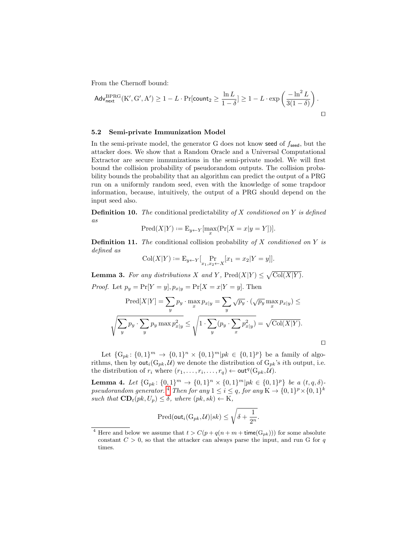From the Chernoff bound:

$$
\mathsf{Adv}_{\mathsf{next}}^{\mathsf{BPRG}}(K', G', A') \ge 1 - L \cdot \Pr[\mathsf{count}_2 \ge \frac{\ln L}{1 - \delta}] \ge 1 - L \cdot \exp\left(\frac{-\ln^2 L}{3(1 - \delta)}\right).
$$

#### <span id="page-15-0"></span>5.2 Semi-private Immunization Model

In the semi-private model, the generator G does not know seed of  $f_{\text{seed}}$ , but the attacker does. We show that a Random Oracle and a Universal Computational Extractor are secure immunizations in the semi-private model. We will first bound the collision probability of pseudorandom outputs. The collision probability bounds the probability that an algorithm can predict the output of a PRG run on a uniformly random seed, even with the knowledge of some trapdoor information, because, intuitively, the output of a PRG should depend on the input seed also.

**Definition 10.** The conditional predictability of  $X$  conditioned on  $Y$  is defined as

$$
\operatorname{Pred}(X|Y) := \mathrm{E}_{y \leftarrow Y}[\max_x (\Pr[X = x | y = Y])].
$$

**Definition 11.** The conditional collision probability of  $X$  conditioned on  $Y$  is defined as

$$
\mathrm{Col}(X|Y) := \mathrm{E}_{y \leftarrow Y}[\Pr_{x_1, x_2 \leftarrow X} [x_1 = x_2 | Y = y]].
$$

<span id="page-15-2"></span>**Lemma 3.** For any distributions X and Y,  $\text{Pred}(X|Y) \leq \sqrt{\text{Col}(X|Y)}$ .

*Proof.* Let  $p_y = \Pr[Y = y], p_{x|y} = \Pr[X = x | Y = y].$  Then

$$
\text{Pred}[X|Y] = \sum_{y} p_y \cdot \max_{x} p_{x|y} = \sum_{y} \sqrt{p_y} \cdot (\sqrt{p_y} \max_{x} p_{x|y}) \le
$$

$$
\sqrt{\sum_{y} p_y \cdot \sum_{y} p_y \max p_{x|y}^2} \le \sqrt{1 \cdot \sum_{y} (p_y \cdot \sum_{x} p_{x|y}^2)} = \sqrt{\text{Col}(X|Y)}.
$$

 $\Box$ 

Let  $\{G_{pk}: \{0,1\}^m \to \{0,1\}^n \times \{0,1\}^m | pk \in \{0,1\}^p\}$  be a family of algorithms, then by  $\textsf{out}_i(G_{pk}, \mathcal{U})$  we denote the distribution of  $G_{pk}$ 's *i*th output, i.e. the distribution of  $r_i$  where  $(r_1, \ldots, r_i, \ldots, r_q) \leftarrow \text{out}^q(G_{pk}, \mathcal{U}).$ 

<span id="page-15-3"></span>Lemma 4. Let  $\{G_{pk}: \{0,1\}^m \to \{0,1\}^n \times \{0,1\}^m | pk \in \{0,1\}^p\}$  be a  $(t, q, \delta)$ -pseudorandom generator. <sup>[4](#page-15-1)</sup> Then for any  $1 \leq i \leq q$ , for any  $K \to \{0,1\}^p \times \{0,1\}^k$ such that  $CD_t(pk, U_p) \leq \delta$ , where  $(pk, sk) \leftarrow K$ ,

$$
\text{Pred}(\textsf{out}_{i}(\textsf{G}_{pk}, \mathcal{U}) | sk) \leq \sqrt{\delta + \frac{1}{2^n}}.
$$

<span id="page-15-1"></span><sup>&</sup>lt;sup>4</sup> Here and below we assume that  $t > C(p + q(n + m + \text{time}(G_{pk})))$  for some absolute constant  $C > 0$ , so that the attacker can always parse the input, and run G for q times.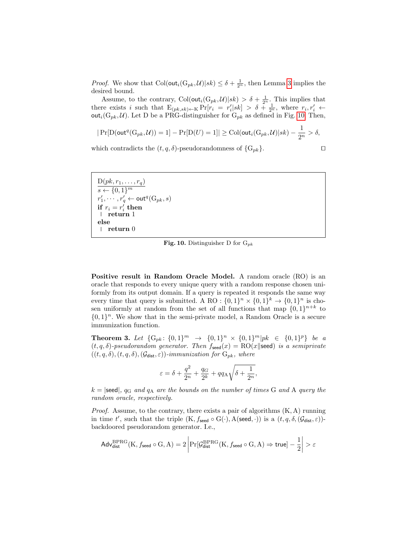*Proof.* We show that  $\text{Col}(\text{out}_i(\text{G}_{pk}, \mathcal{U}) | sk) \leq \delta + \frac{1}{2^n}$ , then Lemma [3](#page-15-2) implies the desired bound.

Assume, to the contrary,  $\text{Col}(\text{out}_i(\text{G}_{pk}, \mathcal{U})|sk) > \delta + \frac{1}{2^n}$ . This implies that there exists i such that  $E_{(pk, sk) \leftarrow K} Pr[r_i = r'_i | sk] > \delta + \frac{1}{2^n}$ , where  $r_i, r'_i \leftarrow$ out<sub>i</sub>(G<sub>pk</sub>, U). Let D be a PRG-distinguisher for  $G_{pk}$  as defined in Fig. [10.](#page-16-0) Then,

$$
|\Pr[\mathrm{D}(\texttt{out}^q(G_{pk},\mathcal{U}))=1]-\Pr[\mathrm{D}(U)=1]|\geq \mathrm{Col}(\texttt{out}_i(G_{pk},\mathcal{U})|sk)-\frac{1}{2^n}>\delta,
$$

which contradicts the  $(t, q, \delta)$ -pseudorandomness of  $\{G_{pk}\}.$ 

$$
\qquad \qquad \Box
$$

 $D(pk, r_1, \ldots, r_q)$  $s \leftarrow \{0,1\}^m$  $r'_1, \cdots, r'_q \leftarrow \mathsf{out}^q(\mathrm{G}_{pk}, s)$ if  $r_i = r'_i$  then return 1 else  $\perp$  return 0

<span id="page-16-0"></span>Fig. 10. Distinguisher D for  $G_{pk}$ 

Positive result in Random Oracle Model. A random oracle (RO) is an oracle that responds to every unique query with a random response chosen uniformly from its output domain. If a query is repeated it responds the same way every time that query is submitted. A RO :  $\{0,1\}^n \times \{0,1\}^k \to \{0,1\}^n$  is chosen uniformly at random from the set of all functions that map  $\{0,1\}^{n+k}$  to  $\{0,1\}^n$ . We show that in the semi-private model, a Random Oracle is a secure immunization function.

<span id="page-16-1"></span>**Theorem 3.** Let  $\{G_{pk}: \{0,1\}^m \rightarrow \{0,1\}^n \times \{0,1\}^m |pk \in \{0,1\}^p\}$  be a  $(t, q, \delta)$ -pseudorandom generator. Then  $f_{\text{seed}}(x) = \text{RO}(x \mid \text{seed})$  is a semiprivate  $((t, q, \delta), (t, q, \delta),(\mathcal{G}_{\text{dist}}, \varepsilon))$ -immunization for  $G_{pk}$ , where

$$
\varepsilon = \delta + \frac{q^2}{2^n} + \frac{q_G}{2^k} + qq_A \sqrt{\delta + \frac{1}{2^n}},
$$

 $k = |\text{seed}|$ ,  $q_G$  and  $q_A$  are the bounds on the number of times G and A query the random oracle, respectively.

*Proof.* Assume, to the contrary, there exists a pair of algorithms  $(K, A)$  running in time t', such that the triple  $(K, f_{\text{seed}} \circ G(\cdot), A(\text{seed}, \cdot))$  is a  $(t, q, \delta, (\mathcal{G}_{\text{dist}}, \varepsilon))$ backdoored pseudorandom generator. I.e.,

$$
\mathsf{Adv}_{\mathsf{dist}}^{\mathsf{BPRG}}(K, f_{\mathsf{seed}} \circ G, A) = 2\left|\Pr[\mathcal{G}_{\mathsf{dist}}^{\mathsf{BPRG}}(K, f_{\mathsf{seed}} \circ G, A) \Rightarrow \mathsf{true}] - \frac{1}{2}\right| > \varepsilon
$$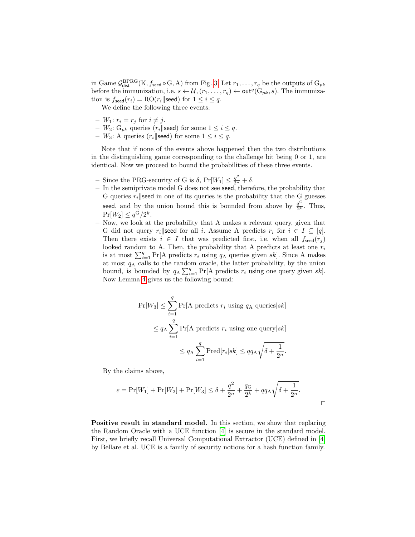in Game  $\mathcal{G}_{\text{dist}}^{\text{BPRG}}(K, f_{\text{seed}} \circ G, A)$  from Fig. [3.](#page-7-0) Let  $r_1, \ldots, r_q$  be the outputs of  $G_{pk}$ before the immunization, i.e.  $s \leftarrow \mathcal{U}, (r_1, \ldots, r_q) \leftarrow \text{out}^q(G_{pk}, s)$ . The immunization is  $f_{\text{seed}}(r_i) = \text{RO}(r_i \mid \text{seed})$  for  $1 \leq i \leq q$ .

We define the following three events:

- $W_1: r_i = r_j \text{ for } i \neq j.$
- $W_2$ :  $G_{pk}$  queries  $(r_i \parallel \text{seed})$  for some  $1 \leq i \leq q$ .
- $W_3$ : A queries  $(r_i \parallel \text{seed})$  for some  $1 \leq i \leq q$ .

Note that if none of the events above happened then the two distributions in the distinguishing game corresponding to the challenge bit being 0 or 1, are identical. Now we proceed to bound the probabilities of these three events.

- Since the PRG-security of G is  $\delta$ ,  $Pr[W_1] \leq \frac{q^2}{2^n} + \delta$ .
- In the semiprivate model G does not see seed, therefore, the probability that G queries  $r_i$  seed in one of its queries is the probability that the G guesses seed, and by the union bound this is bounded from above by  $\frac{q}{2k}$  $\frac{q^{\infty}}{2^k}$ . Thus,  $Pr[W_2] \leq q^G/2^k$ .
- Now, we look at the probability that A makes a relevant query, given that G did not query  $r_i$  seed for all i. Assume A predicts  $r_i$  for  $i \in I \subseteq [q]$ . Then there exists  $i \in I$  that was predicted first, i.e. when all  $f_{\text{seed}}(r_i)$ looked random to A. Then, the probability that A predicts at least one  $r_i$ is at most  $\sum_{i=1}^{q} Pr[A$  predicts  $r_i$  using  $q_A$  queries given sk]. Since A makes at most  $q_A$  calls to the random oracle, the latter probability, by the union bound, is bounded by  $q_A \sum_{i=1}^q \Pr[A]$  predicts  $r_i$  using one query given sk. Now Lemma [4](#page-15-3) gives us the following bound:

$$
\Pr[W_3] \le \sum_{i=1}^q \Pr[A \text{ predicts } r_i \text{ using } q_A \text{ queries} | sk]
$$
  

$$
\le q_A \sum_{i=1}^q \Pr[A \text{ predicts } r_i \text{ using one query} | sk]
$$
  

$$
\le q_A \sum_{i=1}^q \Pr[d[r_i|sk] \le qq_A \sqrt{\delta + \frac{1}{2^n}}].
$$

By the claims above,

$$
\varepsilon = \Pr[W_1] + \Pr[W_2] + \Pr[W_3] \le \delta + \frac{q^2}{2^n} + \frac{q_G}{2^k} + qq_A \sqrt{\delta + \frac{1}{2^n}}.
$$

Positive result in standard model. In this section, we show that replacing the Random Oracle with a UCE function [\[4\]](#page-23-13) is secure in the standard model. First, we briefly recall Universal Computational Extractor (UCE) defined in [\[4\]](#page-23-13) by Bellare et al. UCE is a family of security notions for a hash function family.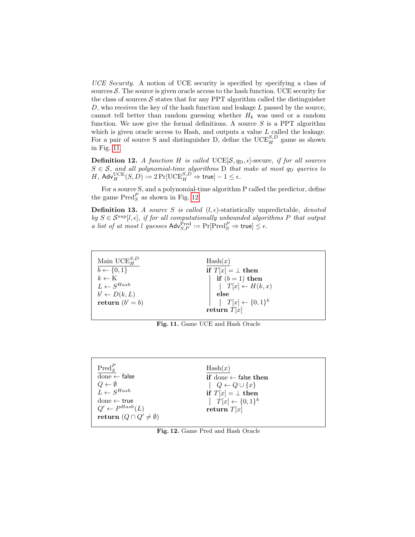UCE Security. A notion of UCE security is specified by specifying a class of sources  $S$ . The source is given oracle access to the hash function. UCE security for the class of sources  $S$  states that for any PPT algorithm called the distinguisher  $D$ , who receives the key of the hash function and leakage  $L$  passed by the source, cannot tell better than random guessing whether  $H_k$  was used or a random function. We now give the formal definitions. A source  $S$  is a PPT algorithm which is given oracle access to Hash, and outputs a value  $L$  called the leakage. For a pair of source S and distinguisher D, define the  $\mathrm{UCE}_{H}^{S,D}$  game as shown in Fig. [11.](#page-18-0)

**Definition 12.** A function H is called UCE[ $S$ ,  $q_D$ ,  $\epsilon$ ]-secure, if for all sources  $S \in \mathcal{S}$ , and all polynomial-time algorithms D that make at most  $q_D$  queries to H,  $\mathsf{Adv}_{H}^{\mathrm{UCE}}(S, D) := 2 \Pr[\mathrm{UCE}_{H}^{S, D} \Rightarrow \mathsf{true}] - 1 \leq \epsilon.$ 

For a source S, and a polynomial-time algorithm P called the predictor, define the game  $\text{Pred}_{S}^{P}$  as shown in Fig. [12.](#page-18-1)

**Definition 13.** A source S is called  $(l, \epsilon)$ -statistically unpredictable, denoted by  $S \in \mathcal{S}^{sup}[l, \epsilon]$ , if for all computationally unbounded algorithms P that output *a list of at most l guesses*  $\mathsf{Adv}_{S,P}^{\text{Pred}} := \Pr[\text{Pred}_{S}^{P} \Rightarrow \text{true}] \leq \epsilon$ .



<span id="page-18-0"></span>Fig. 11. Game UCE and Hash Oracle

<span id="page-18-1"></span>Fig. 12. Game Pred and Hash Oracle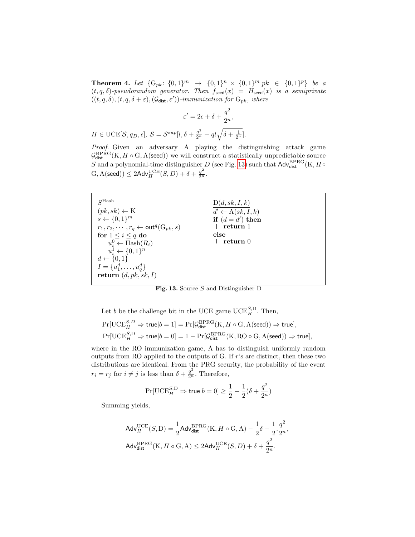**Theorem 4.** Let  $\{G_{pk}: \{0,1\}^m \rightarrow \{0,1\}^n \times \{0,1\}^m |pk \in \{0,1\}^p\}$  be a  $(t, q, \delta)$ -pseudorandom generator. Then  $f_{\text{seed}}(x) = H_{\text{seed}}(x)$  is a semiprivate  $((t, q, \delta), (t, q, \delta + \varepsilon), (\mathcal{G}_{\text{dist}}, \varepsilon'))$ -immunization for  $G_{pk}$ , where

$$
\varepsilon' = 2\epsilon + \delta + \frac{q^2}{2^n},
$$

 $H \in \mathrm{UCE}[\mathcal{S}, q_D, \epsilon], \ \mathcal{S} = \mathcal{S}^{sup}[l, \delta + \frac{q^2}{2^n} + ql\sqrt{\delta + \frac{1}{2^n}}].$ 

Proof. Given an adversary A playing the distinguishing attack game  $\mathcal{G}_{\text{dist}}^{\text{BPRG}}(K, H \circ G, A(\text{seed}))$  we will construct a statistically unpredictable source S and a polynomial-time distinguisher  $D$  (see Fig. [13\)](#page-19-0) such that  $\mathsf{Adv}_{\mathsf{dist}}^{\text{BPRG}}(K, H \circ$  $\mathrm{G}, \mathrm{A}(\mathsf{seed})) \leq 2\mathsf{Adv}^{\mathrm{UCE}}_H(S, D) + \delta + \tfrac{q^2}{2^n}.$ 

 $S^{\operatorname{Hash}}$  $(pk, sk) \leftarrow K$  $s \leftarrow \{0,1\}^m$  $r_1, r_2, \cdots, r_q \leftarrow \mathsf{out}^q(\mathrm{G}_{pk}, s)$ for  $1 \leq i \leq q$  do  $u_i^0 \leftarrow \text{Hash}(R_i)$  $u_i^1 \leftarrow \{0,1\}^n$  $d \leftarrow \{0,1\}$  $I = \{u_1^d, \ldots, u_q^d\}$ return  $(d, pk, sk, I)$  $D(d, sk, I, k)$  $d' \leftarrow A(\overline{sk}, I, k)$ if  $(d = d')$  then l return 1 else  $\perp$  return  $0$ 

<span id="page-19-0"></span>Fig. 13. Source S and Distinguisher D

Let b be the challenge bit in the UCE game  $\mathrm{UCE}_H^{S,D}$ . Then,

$$
\Pr[\text{UCE}_{H}^{S,D} \Rightarrow \text{true}|b=1] = \Pr[\mathcal{G}_{\text{dist}}^{\text{BPRG}}(K, H \circ G, A(\text{seed})) \Rightarrow \text{true}],
$$
  

$$
\Pr[\text{UCE}_{H}^{S,D} \Rightarrow \text{true}|b=0] = 1 - \Pr[\mathcal{G}_{\text{dist}}^{\text{BPRG}}(K, \text{RO} \circ G, A(\text{seed})) \Rightarrow \text{true}],
$$

where in the RO immunization game, A has to distinguish uniformly random outputs from RO applied to the outputs of G. If r's are distinct, then these two distributions are identical. From the PRG security, the probability of the event  $r_i = r_j$  for  $i \neq j$  is less than  $\delta + \frac{q^2}{2^n}$ . Therefore,

$$
\Pr[\text{UCE}_H^{S,\text{D}} \Rightarrow \text{true}|b=0] \ge \frac{1}{2} - \frac{1}{2}(\delta + \frac{q^2}{2^n})
$$

Summing yields,

$$
\begin{aligned} \mathsf{Adv}_{H}^{\mathrm{UCE}}(S, \mathrm{D}) &= \frac{1}{2} \mathsf{Adv}_{\mathrm{dist}}^{\mathrm{BPRG}}(\mathrm{K}, H \circ \mathrm{G}, \mathrm{A}) - \frac{1}{2} \delta - \frac{1}{2} \cdot \frac{q^2}{2^n}, \\ \mathsf{Adv}_{\mathrm{dist}}^{\mathrm{BPRG}}(\mathrm{K}, H \circ \mathrm{G}, \mathrm{A}) &\leq 2 \mathsf{Adv}_{H}^{\mathrm{UCE}}(S, D) + \delta + \frac{q^2}{2^n}. \end{aligned}
$$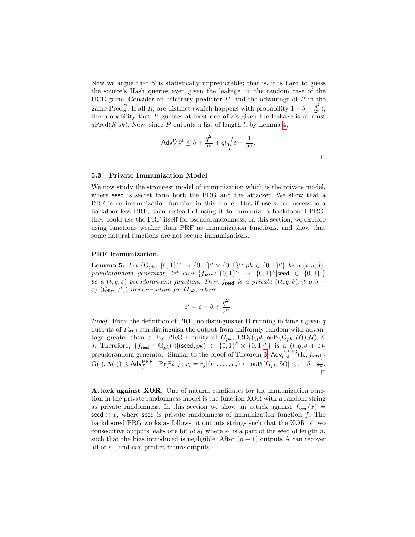Now we argue that  $S$  is statistically unpredictable; that is, it is hard to guess the source's Hash queries even given the leakage, in the random case of the UCE game. Consider an arbitrary predictor  $P$ , and the advantage of  $P$  in the game Pred<sup>P</sup><sub>S</sub>. If all  $R_i$  are distinct (which happens with probability  $1 - \delta - \frac{q^2}{2^n}$ ), the probability that  $P$  guesses at least one of  $r$ 's given the leakage is at most  $qPred(R|sk)$ . Now, since P outputs a list of length l, by Lemma [4,](#page-15-3)

$$
\mathsf{Adv}_{S,P}^{\mathrm{Pred}} \leq \delta + \frac{q^2}{2^n} + ql\sqrt{\delta + \frac{1}{2^n}}.
$$

#### <span id="page-20-0"></span>5.3 Private Immunization Model

We now study the strongest model of immunization which is the private model, where seed is secret from both the PRG and the attacker. We show that a PRF is an immunization function in this model. But if users had access to a backdoor-less PRF, then instead of using it to immunize a backdoored PRG, they could use the PRF itself for pseudorandomness. In this section, we explore using functions weaker than PRF as immunization functions, and show that some natural functions are not secure immunizations.

#### PRF Immunization.

Lemma 5. Let  $\{G_{pk}: \{0,1\}^m \to \{0,1\}^n \times \{0,1\}^m | pk \in \{0,1\}^p\}$  be a  $(t, q, \delta)$  $pseudorandom\ generator,\ let\ also\ \{f_{\rm seed}\colon \{0,1\}^n\ \to\ \{0,1\}^k | {\rm seed}\ \in\ \{0,1\}^l\}$ be a  $(t, q, \varepsilon)$ -pseudorandom function. Then f<sub>seed</sub> is a private  $((t, q, \delta), (t, q, \delta +$  $\varepsilon$ ),  $(\mathcal{G}_{\text{dist}}, \varepsilon')$ )-immunization for  $G_{pk}$ , where

$$
\varepsilon'=\varepsilon+\delta+\frac{q^2}{2^n}.
$$

*Proof.* From the definition of PRF, no distinguisher D running in time t given q outputs of  $F_{\text{seed}}$  can distinguish the output from uniformly random with advantage greater than  $\varepsilon$ . By PRG security of  $G_{pk}$ ,  $CD_t((pk, out^q(G_{pk}, \mathcal{U})), \mathcal{U}) \leq$ δ. Therefore, { $f_{\text{seed}} \circ G_{pk}(\cdot) | (\text{seed}, pk)$  ∈ {0, 1}<sup>ℓ</sup> × {0, 1}<sup>p</sup>} is a  $(t, q, δ + ε)$ -pseudorandom generator. Similar to the proof of Theorem [3,](#page-16-1)  $\mathsf{Adv}_{\mathsf{dist}}^{\text{BPRG}}(K, f_{\mathsf{seed}} \circ$  $\mathrm{G}(\cdot),\mathrm{A}(\cdot))\leq \mathsf{Adv}^{\mathrm{PRF}}_f+\Pr[\exists i,j : r_i=r_j | (r_1,\ldots,r_q)\leftarrow \mathsf{out}^q (\mathrm{G}_{pk}, \mathcal{U})] \leq \varepsilon + \delta + \tfrac{q^2}{2^n}.$  $\Box$ 

Attack against XOR. One of natural candidates for the immunization function in the private randomness model is the function XOR with a random string as private randomness. In this section we show an attack against  $f_{\text{seed}}(x)$ seed  $\oplus x$ , where seed is private randomness of immunization function f. The backdoored PRG works as follows: it outputs strings such that the XOR of two consecutive outputs leaks one bit of  $s_1$  where  $s_1$  is a part of the seed of length n, such that the bias introduced is negligible. After  $(n + 1)$  outputs A can recover all of  $s_1$ , and can predict future outputs.

 $\Box$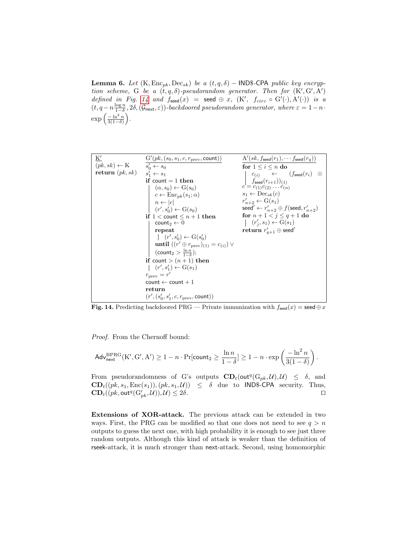**Lemma 6.** Let  $(K, Enc_{pk}, Dec_{sk})$  be a  $(t, q, \delta)$  – IND\$-CPA public key encryption scheme, G be a  $(t, q, \delta)$ -pseudorandom generator. Then for  $(K', G', A')$ defined in Fig. [14](#page-21-0) and  $f_{\text{seed}}(x) = \text{seed } \oplus x$ ,  $(K', f_{circ} \circ G'(\cdot), A'(\cdot))$  is a  $(t, q-n\frac{\log n}{1-\delta}, 2\delta, (\mathcal{G}_{\mathsf{next}}, \varepsilon))$ -backdoored pseudorandom generator, where  $\varepsilon = 1-n$ .  $\exp\left(\frac{-\ln^2 n}{3(1-\delta)}\right)$ .

| <u>K'</u>                                                | $G'(pk, (s_0, s_1, c, r_{prev}, count))$                          | $A'(sk, f_{seed}(r_1), \cdots f_{seed}(r_a))$                         |
|----------------------------------------------------------|-------------------------------------------------------------------|-----------------------------------------------------------------------|
| $(pk, sk) \leftarrow K$ $\overline{s'_0 \leftarrow s_0}$ |                                                                   | for $1 \leq i \leq n$ do                                              |
| <b>return</b> $(pk, sk)$ $s'_1 \leftarrow s_1$           |                                                                   | $c_{(i)} \qquad \leftarrow \qquad (f_{\text{seed}}(r_i) \quad \oplus$ |
|                                                          | if count $= 1$ then                                               | $f_{\text{seed}}(r_{i+1}))_{(1)}$                                     |
|                                                          | $(\alpha, s_0) \leftarrow G(s_0)$                                 | $c = c_{(1)}c_{(2)} \dots c_{(n)}$                                    |
|                                                          | $c \leftarrow \text{Enc}_{pk}(s_1; \alpha)$                       | $s_1 \leftarrow \text{Dec}_{sk}(c)$                                   |
|                                                          | $n \leftarrow  c $                                                | $r'_{n+2} \leftarrow G(s_1)$                                          |
|                                                          | $(r', s'_0) \leftarrow G(s_0)$                                    | seed' $\leftarrow r'_{n+2} \oplus f(\text{seed}, r'_{n+2})$           |
|                                                          | if $1 <$ count $\leq n+1$ then                                    | for $n + 1 < j < q + 1$ do                                            |
|                                                          | count <sub>2</sub> $\leftarrow$ 0                                 | $\left( r'_i, s_1 \right) \leftarrow G(s_1)$                          |
|                                                          | repeat                                                            | return $r'_{q+1} \oplus$ seed'                                        |
|                                                          | $(r', s'_0) \leftarrow G(s'_0)$                                   |                                                                       |
|                                                          | <b>until</b> $((r' \oplus r_{\text{prev}})_{(1)} = c_{(i)}) \vee$ |                                                                       |
|                                                          | (count <sub>2</sub> $>$ $\frac{\ln n}{1-\delta}$ );               |                                                                       |
|                                                          | if count $>(n+1)$ then                                            |                                                                       |
|                                                          | $(r', s'_1) \leftarrow G(s_1)$                                    |                                                                       |
|                                                          | $r_{\text{prev}} = r'$                                            |                                                                       |
|                                                          | count $\leftarrow$ count $+1$                                     |                                                                       |
|                                                          | return                                                            |                                                                       |
|                                                          | $(r', (s'_0, s'_1, c, r_{\text{prev}}, \text{count}))$            |                                                                       |

<span id="page-21-0"></span>**Fig. 14.** Predicting backdoored PRG — Private immunization with  $f_{\text{seed}}(x) = \text{seed} \oplus x$ 

Proof. From the Chernoff bound:

$$
\mathsf{Adv}_{\mathsf{next}}^{\mathsf{BPRG}}(K',G',A')\ge 1-n\cdot \Pr[\mathsf{count}_2\ge \frac{\ln n}{1-\delta}]\ge 1-n\cdot \exp\left(\frac{-\ln^2 n}{3(1-\delta)}\right).
$$

From pseudorandomness of G's outputs  $CD_t(\text{out}^q(G_{pk}, \mathcal{U}), \mathcal{U}) \leq \delta$ , and  $CD_t((pk, s_1, Enc(s_1)), (pk, s_1, U)) \leq \delta$  due to IND\$-CPA security. Thus,  $CD_t((pk, \text{out}^q(G'_{pk}, \mathcal{U})), \mathcal{U}) \leq 2\delta.$ 

Extensions of XOR-attack. The previous attack can be extended in two ways. First, the PRG can be modified so that one does not need to see  $q > n$ outputs to guess the next one, with high probability it is enough to see just three random outputs. Although this kind of attack is weaker than the definition of rseek-attack, it is much stronger than next-attack. Second, using homomorphic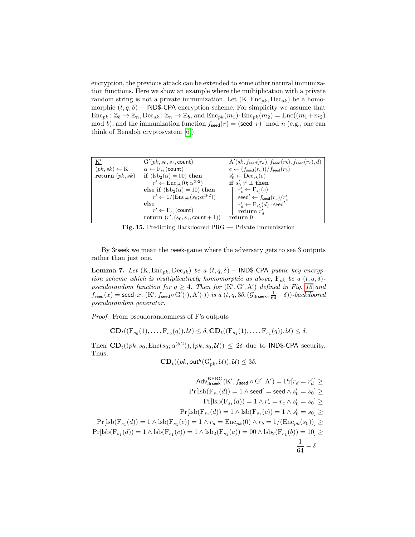encryption, the previous attack can be extended to some other natural immunization functions. Here we show an example where the multiplication with a private random string is not a private immunization. Let  $(K, Enc_{pk}, Dec_{sk})$  be a homomorphic  $(t, q, \delta)$  – IND\$-CPA encryption scheme. For simplicity we assume that  $\text{Enc}_{pk} : \mathbb{Z}_b \to \mathbb{Z}_n$ ,  $\text{Dec}_{sk} : \mathbb{Z}_n \to \mathbb{Z}_b$ , and  $\text{Enc}_{pk}(m_1) \cdot \text{Enc}_{pk}(m_2) = \text{Enc}((m_1+m_2))$ mod b), and the immunization function  $f_{\text{seed}}(r) = (\text{seed} \cdot r) \mod n$  (e.g., one can think of Benaloh cryptosystem [\[6\]](#page-23-16)).

| K'<br>$(pk, sk) \leftarrow K$ | $G'(pk, s_0, s_1, \text{count})$<br>$\alpha \leftarrow F_{s_1}(\text{count})$ | $A'(sk, f_{seed}(r_a), f_{seed}(r_b), f_{seed}(r_c), d)$<br>$e \leftarrow (f_{\text{seed}}(r_a))/f_{\text{seed}}(r_b)$ |
|-------------------------------|-------------------------------------------------------------------------------|------------------------------------------------------------------------------------------------------------------------|
| return $(pk, sk)$             | if $(lsb_2(\alpha) = 00)$ then                                                | $s'_0 \leftarrow \text{Dec}_{sk}(e)$                                                                                   |
|                               | $r' \leftarrow \text{Enc}_{pk}(0; \alpha^{\gg 2})$                            | if $s'_0 \neq \perp$ then                                                                                              |
|                               | else if $(lsb_2(\alpha) = 10)$ then                                           | $r'_c \leftarrow F_{s'_c}(c)$                                                                                          |
|                               | $\vert r' \leftarrow 1/(\text{Enc}_{pk}(s_0; \alpha^{\gg 2}))$                | seed' $\leftarrow f_{\text{seed}}(r_c)/r_c'$                                                                           |
|                               | else                                                                          | $r'_d \leftarrow F_{s'_0}(d) \cdot \text{seed}'$                                                                       |
|                               | $\vert \quad r' \leftarrow F_{s_0}(\text{count})$                             | return $r'_{d}$                                                                                                        |
|                               | <b>return</b> $(r', (s_0, s_1, \text{count} + 1))$                            | return 0                                                                                                               |

<span id="page-22-0"></span>Fig. 15. Predicting Backdoored PRG — Private Immunization

By 3rseek we mean the rseek-game where the adversary gets to see 3 outputs rather than just one.

**Lemma 7.** Let  $(K, Enc_{pk}, Dec_{sk})$  be a  $(t, q, \delta)$  – IND\$-CPA public key encryption scheme which is multiplicatively homomorphic as above,  $F_{sk}$  be a  $(t, q, \delta)$ pseudorandom function for  $q \geq 4$ . Then for  $(K', G', A')$  defined in Fig. [15](#page-22-0) and  $f_{\rm seed}(x) = {\rm seed}\cdot x,\ ( {\rm K}',f_{\rm seed}\circ {\rm G}'(\cdot),{\rm A}'(\cdot))\ \emph{is a $(t,q,3\delta,( \mathcal{G}_{\rm 3rseek}, \frac{1}{64}-\delta))$-backdoored}$ pseudorandom generator.

Proof. From pseudorandomness of F's outputs

$$
\mathbf{CD}_t((\mathrm{F}_{s_0}(1),\ldots,\mathrm{F}_{s_0}(q)),\mathcal{U}) \leq \delta, \mathbf{CD}_t((\mathrm{F}_{s_1}(1),\ldots,\mathrm{F}_{s_1}(q)),\mathcal{U}) \leq \delta.
$$

Then  $CD_t((pk, s_0, Enc(s_0; \alpha^{\gg 2})),(pk, s_0, \mathcal{U})) \leq 2\delta$  due to IND\$-CPA security. Thus,

$$
\mathbf{CD}_t((pk, \mathsf{out}^q(G'_{pk}, \mathcal{U})), \mathcal{U}) \leq 3\delta.
$$

$$
\operatorname{Adv}_{3\text{reset}}^{\text{BPRG}}(\mathbf{K}', f_{\text{seed}} \circ \mathbf{G}', \mathbf{A}') = \Pr[r_d = r'_d] \ge
$$
\n
$$
\Pr[\text{lsb}(\mathbf{F}_{s_1}(d)) = 1 \land \text{seed}' = \text{seed} \land s'_0 = s_0] \ge
$$
\n
$$
\Pr[\text{lsb}(\mathbf{F}_{s_1}(d)) = 1 \land r'_c = r_c \land s'_0 = s_0] \ge
$$
\n
$$
\Pr[\text{lsb}(\mathbf{F}_{s_1}(d)) = 1 \land \text{lsb}(\mathbf{F}_{s_1}(c)) = 1 \land s_0 = s_0] \ge
$$
\n
$$
\Pr[\text{lsb}(\mathbf{F}_{s_1}(d)) = 1 \land \text{lsb}(\mathbf{F}_{s_1}(c)) = 1 \land r_a = \text{Enc}_{pk}(0) \land r_b = 1/(\text{Enc}_{pk}(s_0))] \ge
$$
\n
$$
\Pr[\text{lsb}(\mathbf{F}_{s_1}(d)) = 1 \land \text{lsb}(\mathbf{F}_{s_1}(c)) = 1 \land \text{lsb}_2(\mathbf{F}_{s_1}(a)) = 00 \land \text{lsb}_2(\mathbf{F}_{s_1}(b)) = 10] \ge
$$
\n
$$
\frac{1}{64} - \delta
$$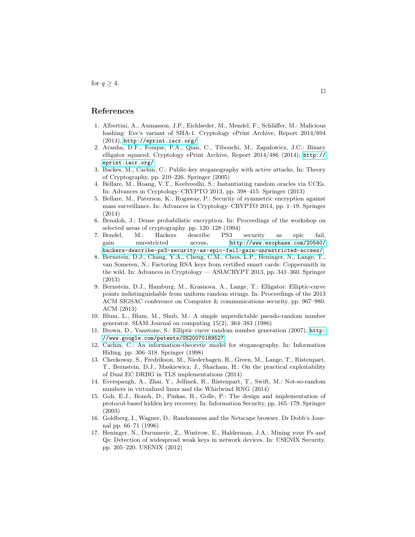# References

- <span id="page-23-12"></span>1. Albertini, A., Aumasson, J.P., Eichlseder, M., Mendel, F., Schläffer, M.: Malicious hashing: Eve's variant of SHA-1. Cryptology ePrint Archive, Report 2014/694 (2014), <http://eprint.iacr.org/>
- <span id="page-23-9"></span>2. Aranha, D.F., Fouque, P.A., Qian, C., Tibouchi, M., Zapalowicz, J.C.: Binary elligator squared. Cryptology ePrint Archive, Report 2014/486 (2014), [http://](http://eprint.iacr.org/) [eprint.iacr.org/](http://eprint.iacr.org/)
- <span id="page-23-10"></span>3. Backes, M., Cachin, C.: Public-key steganography with active attacks. In: Theory of Cryptography, pp. 210–226. Springer (2005)
- <span id="page-23-13"></span>4. Bellare, M., Hoang, V.T., Keelveedhi, S.: Instantiating random oracles via UCEs. In: Advances in Cryptology–CRYPTO 2013, pp. 398–415. Springer (2013)
- <span id="page-23-14"></span>5. Bellare, M., Paterson, K., Rogaway, P.: Security of symmetric encryption against mass surveillance. In: Advances in Cryptology–CRYPTO 2014, pp. 1–19. Springer (2014)
- <span id="page-23-16"></span>6. Benaloh, J.: Dense probabilistic encryption. In: Proceedings of the workshop on selected areas of cryptography. pp. 120–128 (1994)
- <span id="page-23-0"></span>7. Bendel, M.: Hackers describe PS3 security as epic fail, gain unrestricted access, [http://www.exophase.com/20540/](http://www.exophase.com/20540/ hackers-describe-ps3-security-as-epic-fail-gain-unrestricted- access/) [hackers-describe-ps3-security-as-epic-fail-gain-unrestricted-access/](http://www.exophase.com/20540/ hackers-describe-ps3-security-as-epic-fail-gain-unrestricted- access/)
- <span id="page-23-1"></span>8. Bernstein, D.J., Chang, Y.A., Cheng, C.M., Chou, L.P., Heninger, N., Lange, T., van Someren, N.: Factoring RSA keys from certified smart cards: Coppersmith in the wild. In: Advances in Cryptology — ASIACRYPT 2013, pp. 341–360. Springer (2013)
- <span id="page-23-8"></span>9. Bernstein, D.J., Hamburg, M., Krasnova, A., Lange, T.: Elligator: Elliptic-curve points indistinguishable from uniform random strings. In: Proceedings of the 2013 ACM SIGSAC conference on Computer & communications security. pp. 967–980. ACM (2013)
- <span id="page-23-5"></span>10. Blum, L., Blum, M., Shub, M.: A simple unpredictable pseudo-random number generator. SIAM Journal on computing 15(2), 364–383 (1986)
- <span id="page-23-6"></span>11. Brown, D., Vanstone, S.: Elliptic curve random number generation (2007), [http:](http://www.google.com/patents/US20070189527) [//www.google.com/patents/US20070189527](http://www.google.com/patents/US20070189527)
- <span id="page-23-11"></span>12. Cachin, C.: An information-theoretic model for steganography. In: Information Hiding. pp. 306–318. Springer (1998)
- <span id="page-23-7"></span>13. Checkoway, S., Fredrikson, M., Niederhagen, R., Green, M., Lange, T., Ristenpart, T., Bernstein, D.J., Maskiewicz, J., Shacham, H.: On the practical exploitability of Dual EC DRBG in TLS implementations (2014)
- <span id="page-23-2"></span>14. Everspaugh, A., Zhai, Y., Jellinek, R., Ristenpart, T., Swift, M.: Not-so-random numbers in virtualized linux and the Whirlwind RNG (2014)
- <span id="page-23-15"></span>15. Goh, E.J., Boneh, D., Pinkas, B., Golle, P.: The design and implementation of protocol-based hidden key recovery. In: Information Security, pp. 165–179. Springer (2003)
- <span id="page-23-3"></span>16. Goldberg, I., Wagner, D.: Randomness and the Netscape browser. Dr Dobb's Journal pp. 66–71 (1996)
- <span id="page-23-4"></span>17. Heninger, N., Durumeric, Z., Wustrow, E., Halderman, J.A.: Mining your Ps and Qs: Detection of widespread weak keys in network devices. In: USENIX Security. pp. 205–220. USENIX (2012)